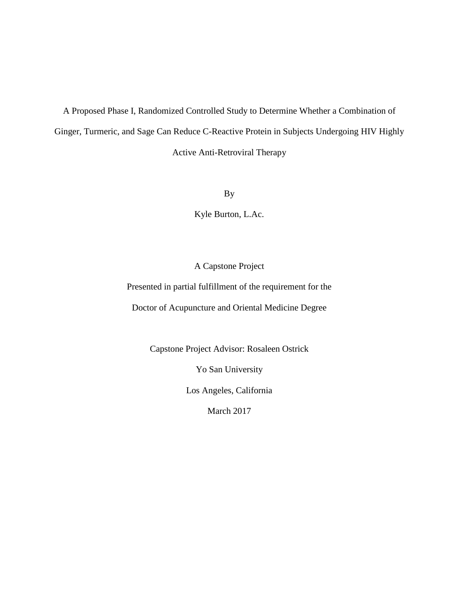A Proposed Phase I, Randomized Controlled Study to Determine Whether a Combination of Ginger, Turmeric, and Sage Can Reduce C-Reactive Protein in Subjects Undergoing HIV Highly Active Anti-Retroviral Therapy

By

Kyle Burton, L.Ac.

# A Capstone Project

Presented in partial fulfillment of the requirement for the

Doctor of Acupuncture and Oriental Medicine Degree

Capstone Project Advisor: Rosaleen Ostrick

Yo San University

Los Angeles, California

March 2017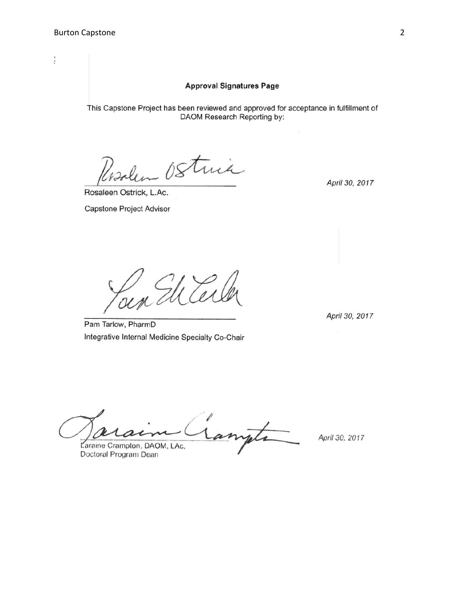Signature Page

### **Approval Signatures Page**

This Capstone Project has been reviewed and approved for acceptance in fulfillment of DAOM Research Reporting by:

trick

Rosaleen Ostrick, L.Ac.

Capstone Project Advisor

April 30, 2017

April 30, 2017

Pam Tarlow, PharmD Integrative Internal Medicine Specialty Co-Chair

Tanjata Laraine Crampton, DAOM, LAc,

Doctoral Program Dean

April 30, 2017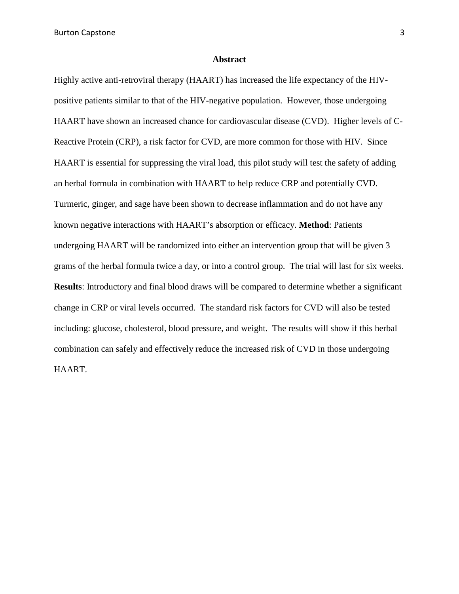Burton Capstone 3

#### **Abstract**

Highly active anti-retroviral therapy (HAART) has increased the life expectancy of the HIVpositive patients similar to that of the HIV-negative population. However, those undergoing HAART have shown an increased chance for cardiovascular disease (CVD). Higher levels of C-Reactive Protein (CRP), a risk factor for CVD, are more common for those with HIV. Since HAART is essential for suppressing the viral load, this pilot study will test the safety of adding an herbal formula in combination with HAART to help reduce CRP and potentially CVD. Turmeric, ginger, and sage have been shown to decrease inflammation and do not have any known negative interactions with HAART's absorption or efficacy. **Method**: Patients undergoing HAART will be randomized into either an intervention group that will be given 3 grams of the herbal formula twice a day, or into a control group. The trial will last for six weeks. **Results**: Introductory and final blood draws will be compared to determine whether a significant change in CRP or viral levels occurred. The standard risk factors for CVD will also be tested including: glucose, cholesterol, blood pressure, and weight. The results will show if this herbal combination can safely and effectively reduce the increased risk of CVD in those undergoing HAART.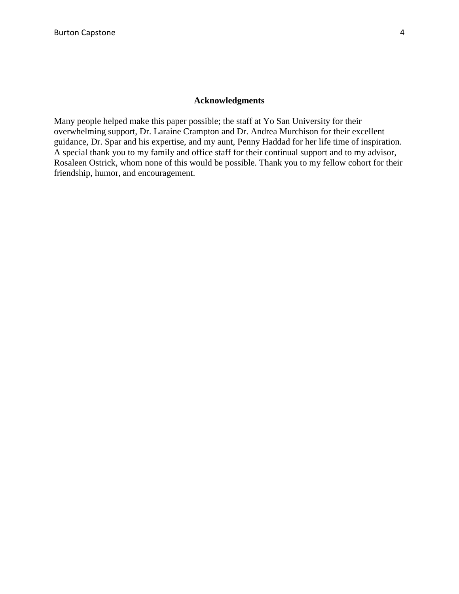### **Acknowledgments**

Many people helped make this paper possible; the staff at Yo San University for their overwhelming support, Dr. Laraine Crampton and Dr. Andrea Murchison for their excellent guidance, Dr. Spar and his expertise, and my aunt, Penny Haddad for her life time of inspiration. A special thank you to my family and office staff for their continual support and to my advisor, Rosaleen Ostrick, whom none of this would be possible. Thank you to my fellow cohort for their friendship, humor, and encouragement.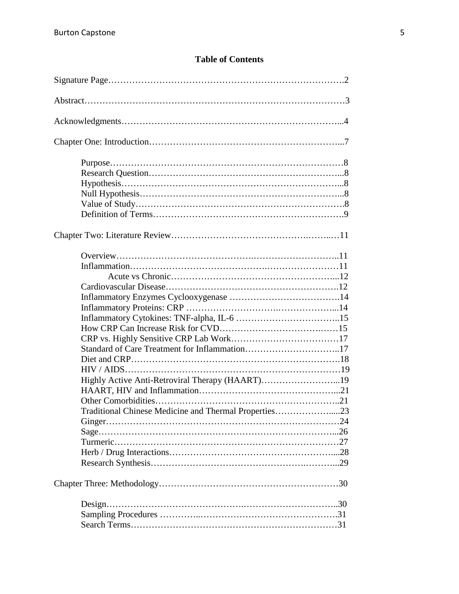# **Table of Contents**

| Standard of Care Treatment for Inflammation17         |  |
|-------------------------------------------------------|--|
|                                                       |  |
|                                                       |  |
| Highly Active Anti-Retroviral Therapy (HAART)19       |  |
|                                                       |  |
|                                                       |  |
| Traditional Chinese Medicine and Thermal Properties23 |  |
|                                                       |  |
|                                                       |  |
|                                                       |  |
|                                                       |  |
|                                                       |  |
|                                                       |  |
| $Design. \dots 30$                                    |  |
|                                                       |  |
|                                                       |  |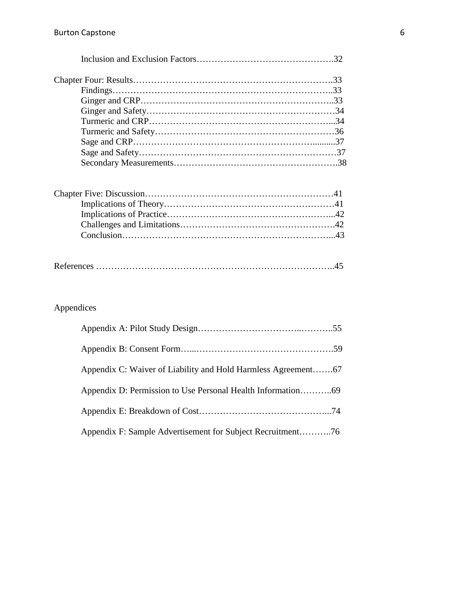|--|--|

# Appendices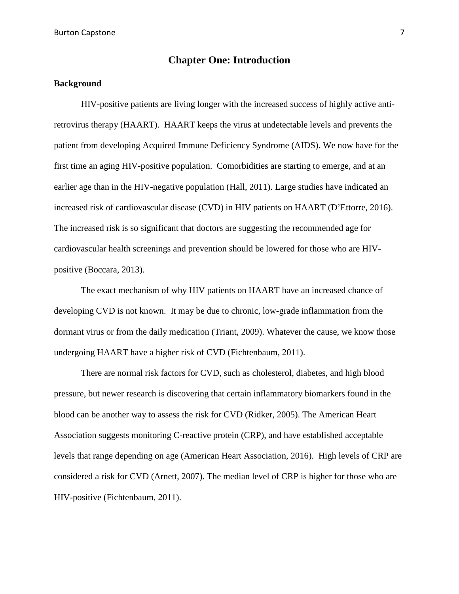# **Chapter One: Introduction**

### **Background**

HIV-positive patients are living longer with the increased success of highly active antiretrovirus therapy (HAART). HAART keeps the virus at undetectable levels and prevents the patient from developing Acquired Immune Deficiency Syndrome (AIDS). We now have for the first time an aging HIV-positive population. Comorbidities are starting to emerge, and at an earlier age than in the HIV-negative population (Hall, 2011). Large studies have indicated an increased risk of cardiovascular disease (CVD) in HIV patients on HAART (D'Ettorre, 2016). The increased risk is so significant that doctors are suggesting the recommended age for cardiovascular health screenings and prevention should be lowered for those who are HIVpositive (Boccara, 2013).

The exact mechanism of why HIV patients on HAART have an increased chance of developing CVD is not known. It may be due to chronic, low-grade inflammation from the dormant virus or from the daily medication (Triant, 2009). Whatever the cause, we know those undergoing HAART have a higher risk of CVD (Fichtenbaum, 2011).

There are normal risk factors for CVD, such as cholesterol, diabetes, and high blood pressure, but newer research is discovering that certain inflammatory biomarkers found in the blood can be another way to assess the risk for CVD (Ridker, 2005). The American Heart Association suggests monitoring C-reactive protein (CRP), and have established acceptable levels that range depending on age (American Heart Association, 2016). High levels of CRP are considered a risk for CVD (Arnett, 2007). The median level of CRP is higher for those who are HIV-positive (Fichtenbaum, 2011).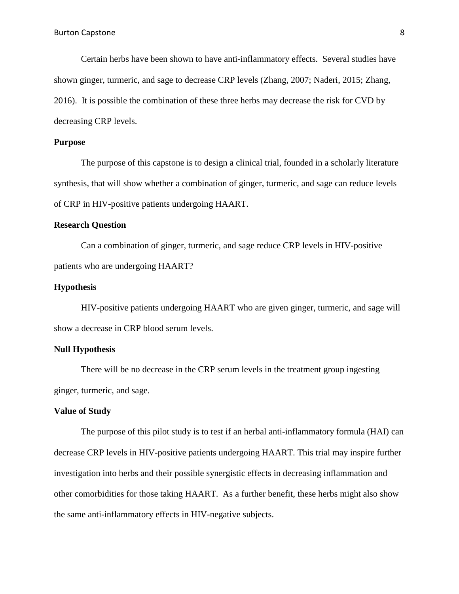Certain herbs have been shown to have anti-inflammatory effects. Several studies have shown ginger, turmeric, and sage to decrease CRP levels (Zhang, 2007; Naderi, 2015; Zhang, 2016). It is possible the combination of these three herbs may decrease the risk for CVD by decreasing CRP levels.

#### **Purpose**

The purpose of this capstone is to design a clinical trial, founded in a scholarly literature synthesis, that will show whether a combination of ginger, turmeric, and sage can reduce levels of CRP in HIV-positive patients undergoing HAART.

### **Research Question**

Can a combination of ginger, turmeric, and sage reduce CRP levels in HIV-positive patients who are undergoing HAART?

### **Hypothesis**

HIV-positive patients undergoing HAART who are given ginger, turmeric, and sage will show a decrease in CRP blood serum levels.

### **Null Hypothesis**

There will be no decrease in the CRP serum levels in the treatment group ingesting ginger, turmeric, and sage.

### **Value of Study**

The purpose of this pilot study is to test if an herbal anti-inflammatory formula (HAI) can decrease CRP levels in HIV-positive patients undergoing HAART. This trial may inspire further investigation into herbs and their possible synergistic effects in decreasing inflammation and other comorbidities for those taking HAART. As a further benefit, these herbs might also show the same anti-inflammatory effects in HIV-negative subjects.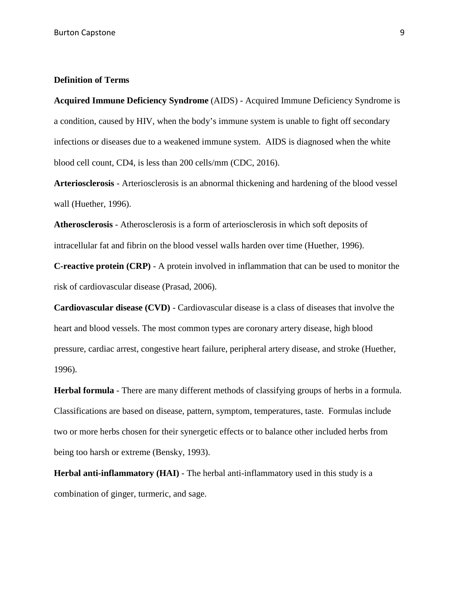### **Definition of Terms**

**Acquired Immune Deficiency Syndrome** (AIDS) - Acquired Immune Deficiency Syndrome is a condition, caused by HIV, when the body's immune system is unable to fight off secondary infections or diseases due to a weakened immune system. AIDS is diagnosed when the white blood cell count, CD4, is less than 200 cells/mm (CDC, 2016).

**Arteriosclerosis** - Arteriosclerosis is an abnormal thickening and hardening of the blood vessel wall (Huether, 1996).

**Atherosclerosis** - Atherosclerosis is a form of arteriosclerosis in which soft deposits of intracellular fat and fibrin on the blood vessel walls harden over time (Huether, 1996).

**C-reactive protein (CRP)** - A protein involved in inflammation that can be used to monitor the risk of cardiovascular disease (Prasad, 2006).

**Cardiovascular disease (CVD)** - Cardiovascular disease is a class of diseases that involve the heart and blood vessels. The most common types are coronary artery disease, high blood pressure, cardiac arrest, congestive heart failure, peripheral artery disease, and stroke (Huether, 1996).

**Herbal formula** - There are many different methods of classifying groups of herbs in a formula. Classifications are based on disease, pattern, symptom, temperatures, taste. Formulas include two or more herbs chosen for their synergetic effects or to balance other included herbs from being too harsh or extreme (Bensky, 1993).

**Herbal anti-inflammatory (HAI)** - The herbal anti-inflammatory used in this study is a combination of ginger, turmeric, and sage.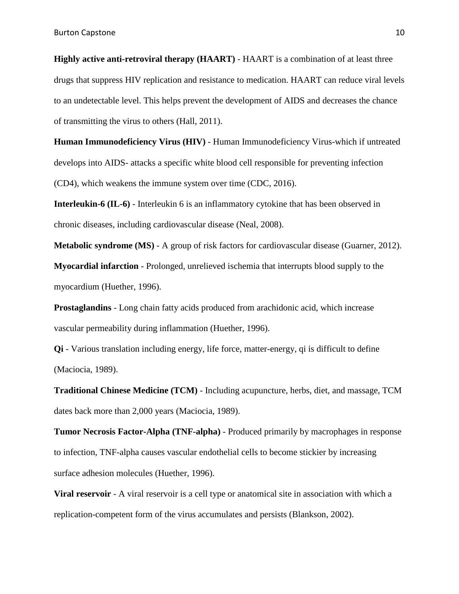**Highly active anti-retroviral therapy (HAART)** - HAART is a combination of at least three drugs that suppress HIV replication and resistance to medication. HAART can reduce viral levels to an undetectable level. This helps prevent the development of AIDS and decreases the chance of transmitting the virus to others (Hall, 2011).

**Human Immunodeficiency Virus (HIV)** - Human Immunodeficiency Virus-which if untreated develops into AIDS- attacks a specific white blood cell responsible for preventing infection (CD4), which weakens the immune system over time (CDC, 2016).

**Interleukin-6 (IL-6)** - Interleukin 6 is an inflammatory cytokine that has been observed in chronic diseases, including cardiovascular disease (Neal, 2008).

**Metabolic syndrome (MS)** - A group of risk factors for cardiovascular disease (Guarner, 2012).

**Myocardial infarction** - Prolonged, unrelieved ischemia that interrupts blood supply to the myocardium (Huether, 1996).

**Prostaglandins** - Long chain fatty acids produced from arachidonic acid, which increase vascular permeability during inflammation (Huether, 1996).

**Qi** - Various translation including energy, life force, matter-energy, qi is difficult to define (Maciocia, 1989).

**Traditional Chinese Medicine (TCM)** - Including acupuncture, herbs, diet, and massage, TCM dates back more than 2,000 years (Maciocia, 1989).

**Tumor Necrosis Factor-Alpha (TNF-alpha)** - Produced primarily by macrophages in response to infection, TNF-alpha causes vascular endothelial cells to become stickier by increasing surface adhesion molecules (Huether, 1996).

**Viral reservoir** - A viral reservoir is a cell type or anatomical site in association with which a replication-competent form of the virus accumulates and persists (Blankson, 2002).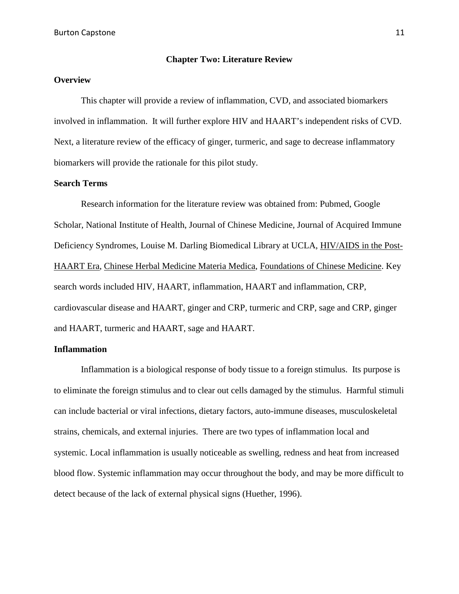#### **Chapter Two: Literature Review**

### **Overview**

This chapter will provide a review of inflammation, CVD, and associated biomarkers involved in inflammation. It will further explore HIV and HAART's independent risks of CVD. Next, a literature review of the efficacy of ginger, turmeric, and sage to decrease inflammatory biomarkers will provide the rationale for this pilot study.

### **Search Terms**

Research information for the literature review was obtained from: Pubmed, Google Scholar, National Institute of Health, Journal of Chinese Medicine, Journal of Acquired Immune Deficiency Syndromes, Louise M. Darling Biomedical Library at UCLA, HIV/AIDS in the Post-HAART Era, Chinese Herbal Medicine Materia Medica, Foundations of Chinese Medicine. Key search words included HIV, HAART, inflammation, HAART and inflammation, CRP, cardiovascular disease and HAART, ginger and CRP, turmeric and CRP, sage and CRP, ginger and HAART, turmeric and HAART, sage and HAART.

#### **Inflammation**

Inflammation is a biological response of body tissue to a foreign stimulus. Its purpose is to eliminate the foreign stimulus and to clear out cells damaged by the stimulus. Harmful stimuli can include bacterial or viral infections, dietary factors, auto-immune diseases, musculoskeletal strains, chemicals, and external injuries. There are two types of inflammation local and systemic. Local inflammation is usually noticeable as swelling, redness and heat from increased blood flow. Systemic inflammation may occur throughout the body, and may be more difficult to detect because of the lack of external physical signs (Huether, 1996).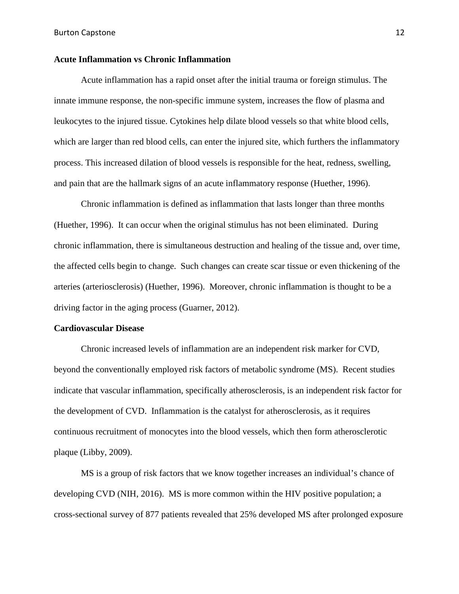### **Acute Inflammation vs Chronic Inflammation**

Acute inflammation has a rapid onset after the initial trauma or foreign stimulus. The innate immune response, the non-specific immune system, increases the flow of plasma and leukocytes to the injured tissue. Cytokines help dilate blood vessels so that white blood cells, which are larger than red blood cells, can enter the injured site, which furthers the inflammatory process. This increased dilation of blood vessels is responsible for the heat, redness, swelling, and pain that are the hallmark signs of an acute inflammatory response (Huether, 1996).

Chronic inflammation is defined as inflammation that lasts longer than three months (Huether, 1996). It can occur when the original stimulus has not been eliminated. During chronic inflammation, there is simultaneous destruction and healing of the tissue and, over time, the affected cells begin to change. Such changes can create scar tissue or even thickening of the arteries (arteriosclerosis) (Huether, 1996). Moreover, chronic inflammation is thought to be a driving factor in the aging process (Guarner, 2012).

#### **Cardiovascular Disease**

Chronic increased levels of inflammation are an independent risk marker for CVD, beyond the conventionally employed risk factors of metabolic syndrome (MS). Recent studies indicate that vascular inflammation, specifically atherosclerosis, is an independent risk factor for the development of CVD. Inflammation is the catalyst for atherosclerosis, as it requires continuous recruitment of monocytes into the blood vessels, which then form atherosclerotic plaque (Libby, 2009).

MS is a group of risk factors that we know together increases an individual's chance of developing CVD (NIH, 2016). MS is more common within the HIV positive population; a cross-sectional survey of 877 patients revealed that 25% developed MS after prolonged exposure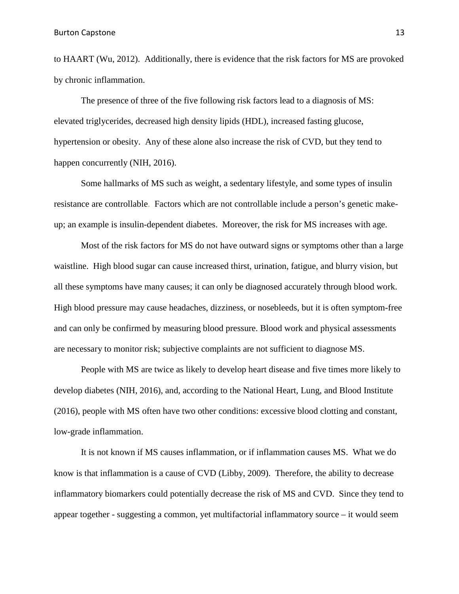to HAART (Wu, 2012). Additionally, there is evidence that the risk factors for MS are provoked by chronic inflammation.

The presence of three of the five following risk factors lead to a diagnosis of MS: elevated triglycerides, decreased high density lipids (HDL), increased fasting glucose, hypertension or obesity. Any of these alone also increase the risk of CVD, but they tend to happen concurrently (NIH, 2016).

Some hallmarks of MS such as weight, a sedentary lifestyle, and some types of insulin resistance are controllable. Factors which are not controllable include a person's genetic makeup; an example is insulin-dependent diabetes. Moreover, the risk for MS increases with age.

Most of the risk factors for MS do not have outward signs or symptoms other than a large waistline. High blood sugar can cause increased thirst, urination, fatigue, and blurry vision, but all these symptoms have many causes; it can only be diagnosed accurately through blood work. High blood pressure may cause headaches, dizziness, or nosebleeds, but it is often symptom-free and can only be confirmed by measuring blood pressure. Blood work and physical assessments are necessary to monitor risk; subjective complaints are not sufficient to diagnose MS.

People with MS are twice as likely to develop heart disease and five times more likely to develop diabetes (NIH, 2016), and, according to the National Heart, Lung, and Blood Institute (2016), people with MS often have two other conditions: excessive blood clotting and constant, low-grade inflammation.

It is not known if MS causes inflammation, or if inflammation causes MS. What we do know is that inflammation is a cause of CVD (Libby, 2009). Therefore, the ability to decrease inflammatory biomarkers could potentially decrease the risk of MS and CVD. Since they tend to appear together - suggesting a common, yet multifactorial inflammatory source – it would seem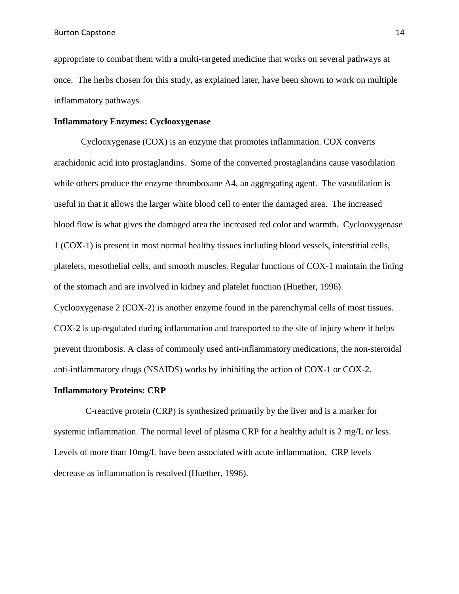appropriate to combat them with a multi-targeted medicine that works on several pathways at once. The herbs chosen for this study, as explained later, have been shown to work on multiple inflammatory pathways.

### **Inflammatory Enzymes: Cyclooxygenase**

Cyclooxygenase (COX) is an enzyme that promotes inflammation. COX converts arachidonic acid into prostaglandins. Some of the converted prostaglandins cause vasodilation while others produce the enzyme thromboxane A4, an aggregating agent. The vasodilation is useful in that it allows the larger white blood cell to enter the damaged area. The increased blood flow is what gives the damaged area the increased red color and warmth. Cyclooxygenase 1 (COX-1) is present in most normal healthy tissues including blood vessels, interstitial cells, platelets, mesothelial cells, and smooth muscles. Regular functions of COX-1 maintain the lining of the stomach and are involved in kidney and platelet function (Huether, 1996).

Cyclooxygenase 2 (COX-2) is another enzyme found in the parenchymal cells of most tissues. COX-2 is up-regulated during inflammation and transported to the site of injury where it helps prevent thrombosis. A class of commonly used anti-inflammatory medications, the non-steroidal anti-inflammatory drugs (NSAIDS) works by inhibiting the action of COX-1 or COX-2.

#### **Inflammatory Proteins: CRP**

 C-reactive protein (CRP) is synthesized primarily by the liver and is a marker for systemic inflammation. The normal level of plasma CRP for a healthy adult is 2 mg/L or less. Levels of more than 10mg/L have been associated with acute inflammation. CRP levels decrease as inflammation is resolved (Huether, 1996).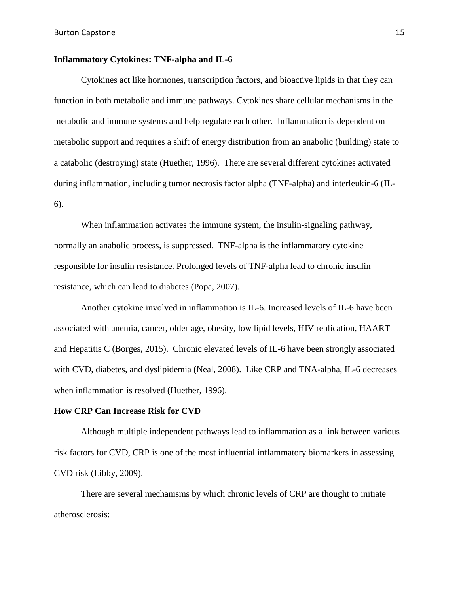### **Inflammatory Cytokines: TNF-alpha and IL-6**

Cytokines act like hormones, transcription factors, and bioactive lipids in that they can function in both metabolic and immune pathways. Cytokines share cellular mechanisms in the metabolic and immune systems and help regulate each other. Inflammation is dependent on metabolic support and requires a shift of energy distribution from an anabolic (building) state to a catabolic (destroying) state (Huether, 1996). There are several different cytokines activated during inflammation, including tumor necrosis factor alpha (TNF-alpha) and interleukin-6 (IL-6).

When inflammation activates the immune system, the insulin-signaling pathway, normally an anabolic process, is suppressed. TNF-alpha is the inflammatory cytokine responsible for insulin resistance. Prolonged levels of TNF-alpha lead to chronic insulin resistance, which can lead to diabetes (Popa, 2007).

Another cytokine involved in inflammation is IL-6. Increased levels of IL-6 have been associated with anemia, cancer, older age, obesity, low lipid levels, HIV replication, HAART and Hepatitis C (Borges, 2015). Chronic elevated levels of IL-6 have been strongly associated with CVD, diabetes, and dyslipidemia (Neal, 2008). Like CRP and TNA-alpha, IL-6 decreases when inflammation is resolved (Huether, 1996).

#### **How CRP Can Increase Risk for CVD**

Although multiple independent pathways lead to inflammation as a link between various risk factors for CVD, CRP is one of the most influential inflammatory biomarkers in assessing CVD risk (Libby, 2009).

There are several mechanisms by which chronic levels of CRP are thought to initiate atherosclerosis: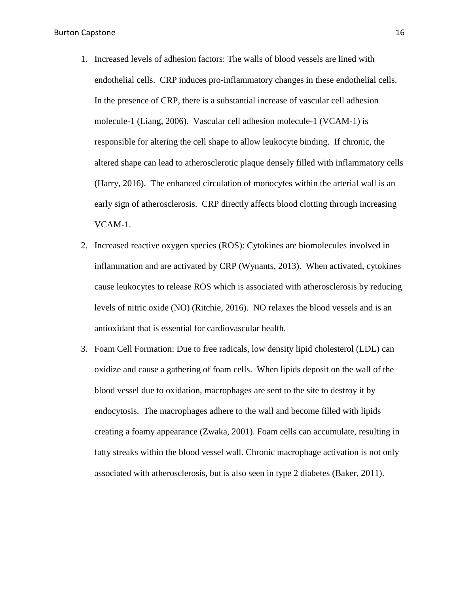- 1. Increased levels of adhesion factors: The walls of blood vessels are lined with endothelial cells. CRP induces pro-inflammatory changes in these endothelial cells. In the presence of CRP, there is a substantial increase of vascular cell adhesion molecule-1 (Liang, 2006). Vascular cell adhesion molecule-1 (VCAM-1) is responsible for altering the cell shape to allow leukocyte binding. If chronic, the altered shape can lead to atherosclerotic plaque densely filled with inflammatory cells (Harry, 2016). The enhanced circulation of monocytes within the arterial wall is an early sign of atherosclerosis. CRP directly affects blood clotting through increasing VCAM-1.
- 2. Increased reactive oxygen species (ROS): Cytokines are biomolecules involved in inflammation and are activated by CRP (Wynants, 2013). When activated, cytokines cause leukocytes to release ROS which is associated with atherosclerosis by reducing levels of nitric oxide (NO) (Ritchie, 2016). NO relaxes the blood vessels and is an antioxidant that is essential for cardiovascular health.
- 3. Foam Cell Formation: Due to free radicals, low density lipid cholesterol (LDL) can oxidize and cause a gathering of foam cells. When lipids deposit on the wall of the blood vessel due to oxidation, macrophages are sent to the site to destroy it by endocytosis. The macrophages adhere to the wall and become filled with lipids creating a foamy appearance (Zwaka, 2001). Foam cells can accumulate, resulting in fatty streaks within the blood vessel wall. Chronic macrophage activation is not only associated with atherosclerosis, but is also seen in type 2 diabetes (Baker, 2011).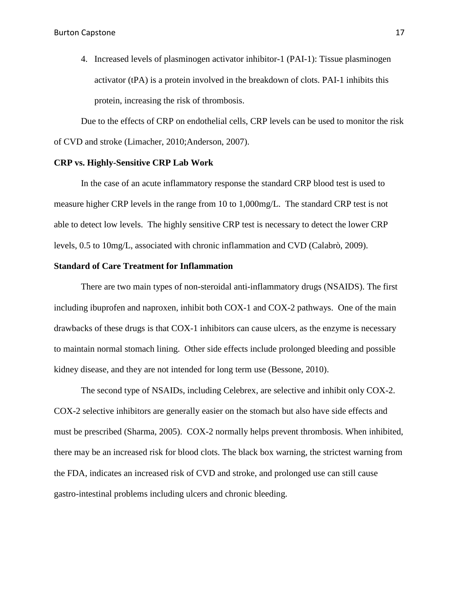4. Increased levels of plasminogen activator inhibitor-1 (PAI-1): Tissue plasminogen activator (tPA) is a protein involved in the breakdown of clots. PAI-1 inhibits this protein, increasing the risk of thrombosis.

Due to the effects of CRP on endothelial cells, CRP levels can be used to monitor the risk of CVD and stroke (Limacher, 2010;Anderson, 2007).

#### **CRP vs. Highly-Sensitive CRP Lab Work**

In the case of an acute inflammatory response the standard CRP blood test is used to measure higher CRP levels in the range from 10 to 1,000mg/L. The standard CRP test is not able to detect low levels. The highly sensitive CRP test is necessary to detect the lower CRP levels, 0.5 to 10mg/L, associated with chronic inflammation and CVD (Calabrò, 2009).

#### **Standard of Care Treatment for Inflammation**

There are two main types of non-steroidal anti-inflammatory drugs (NSAIDS). The first including ibuprofen and naproxen, inhibit both COX-1 and COX-2 pathways. One of the main drawbacks of these drugs is that COX-1 inhibitors can cause ulcers, as the enzyme is necessary to maintain normal stomach lining. Other side effects include prolonged bleeding and possible kidney disease, and they are not intended for long term use (Bessone, 2010).

The second type of NSAIDs, including Celebrex, are selective and inhibit only COX-2. COX-2 selective inhibitors are generally easier on the stomach but also have side effects and must be prescribed (Sharma, 2005). COX-2 normally helps prevent thrombosis. When inhibited, there may be an increased risk for blood clots. The black box warning, the strictest warning from the FDA, indicates an increased risk of CVD and stroke, and prolonged use can still cause gastro-intestinal problems including ulcers and chronic bleeding.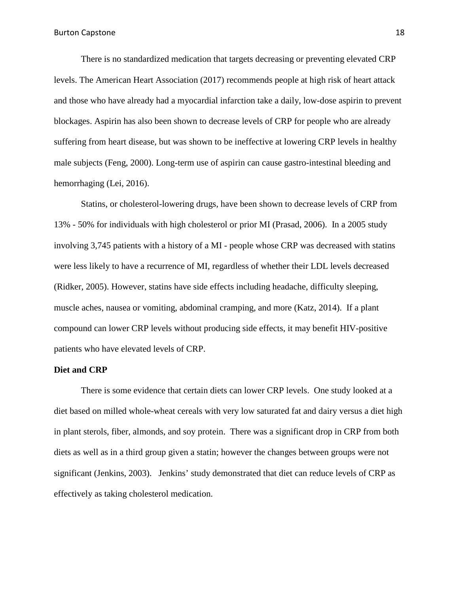There is no standardized medication that targets decreasing or preventing elevated CRP levels. The American Heart Association (2017) recommends people at high risk of heart attack and those who have already had a myocardial infarction take a daily, low-dose aspirin to prevent blockages. Aspirin has also been shown to decrease levels of CRP for people who are already suffering from heart disease, but was shown to be ineffective at lowering CRP levels in healthy male subjects (Feng, 2000). Long-term use of aspirin can cause gastro-intestinal bleeding and hemorrhaging (Lei, 2016).

Statins, or cholesterol-lowering drugs, have been shown to decrease levels of CRP from 13% - 50% for individuals with high cholesterol or prior MI (Prasad, 2006). In a 2005 study involving 3,745 patients with a history of a MI - people whose CRP was decreased with statins were less likely to have a recurrence of MI, regardless of whether their LDL levels decreased (Ridker, 2005). However, statins have side effects including headache, difficulty sleeping, muscle aches, nausea or vomiting, abdominal cramping, and more (Katz, 2014). If a plant compound can lower CRP levels without producing side effects, it may benefit HIV-positive patients who have elevated levels of CRP.

### **Diet and CRP**

There is some evidence that certain diets can lower CRP levels. One study looked at a diet based on milled whole-wheat cereals with very low saturated fat and dairy versus a diet high in plant sterols, fiber, almonds, and soy protein. There was a significant drop in CRP from both diets as well as in a third group given a statin; however the changes between groups were not significant (Jenkins, 2003). Jenkins' study demonstrated that diet can reduce levels of CRP as effectively as taking cholesterol medication.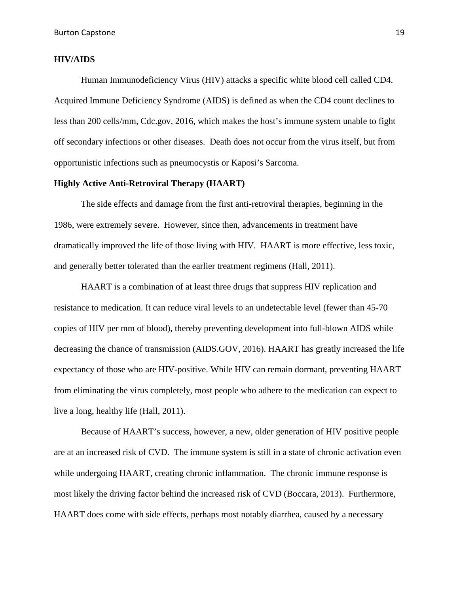### **HIV/AIDS**

Human Immunodeficiency Virus (HIV) attacks a specific white blood cell called CD4. Acquired Immune Deficiency Syndrome (AIDS) is defined as when the CD4 count declines to less than 200 cells/mm, Cdc.gov, 2016, which makes the host's immune system unable to fight off secondary infections or other diseases. Death does not occur from the virus itself, but from opportunistic infections such as pneumocystis or Kaposi's Sarcoma.

### **Highly Active Anti-Retroviral Therapy (HAART)**

The side effects and damage from the first anti-retroviral therapies, beginning in the 1986, were extremely severe. However, since then, advancements in treatment have dramatically improved the life of those living with HIV. HAART is more effective, less toxic, and generally better tolerated than the earlier treatment regimens (Hall, 2011).

HAART is a combination of at least three drugs that suppress HIV replication and resistance to medication. It can reduce viral levels to an undetectable level (fewer than 45-70) copies of HIV per mm of blood), thereby preventing development into full-blown AIDS while decreasing the chance of transmission (AIDS.GOV, 2016). HAART has greatly increased the life expectancy of those who are HIV-positive. While HIV can remain dormant, preventing HAART from eliminating the virus completely, most people who adhere to the medication can expect to live a long, healthy life (Hall, 2011).

Because of HAART's success, however, a new, older generation of HIV positive people are at an increased risk of CVD. The immune system is still in a state of chronic activation even while undergoing HAART, creating chronic inflammation. The chronic immune response is most likely the driving factor behind the increased risk of CVD (Boccara, 2013). Furthermore, HAART does come with side effects, perhaps most notably diarrhea, caused by a necessary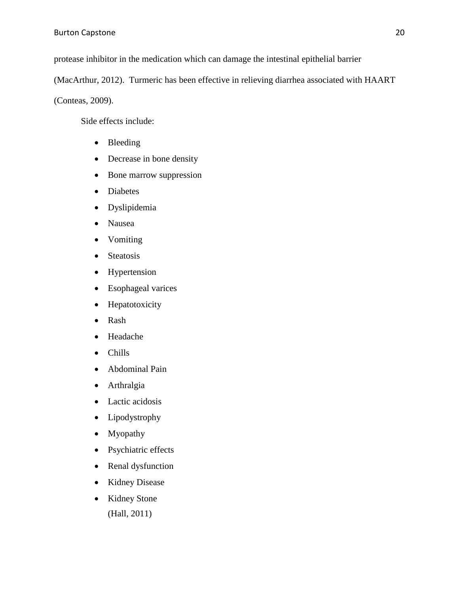protease inhibitor in the medication which can damage the intestinal epithelial barrier

(MacArthur, 2012). Turmeric has been effective in relieving diarrhea associated with HAART

(Conteas, 2009).

Side effects include:

- Bleeding
- Decrease in bone density
- Bone marrow suppression
- Diabetes
- Dyslipidemia
- Nausea
- Vomiting
- Steatosis
- Hypertension
- Esophageal varices
- Hepatotoxicity
- Rash
- Headache
- Chills
- Abdominal Pain
- Arthralgia
- Lactic acidosis
- Lipodystrophy
- Myopathy
- Psychiatric effects
- Renal dysfunction
- Kidney Disease
- Kidney Stone (Hall, 2011)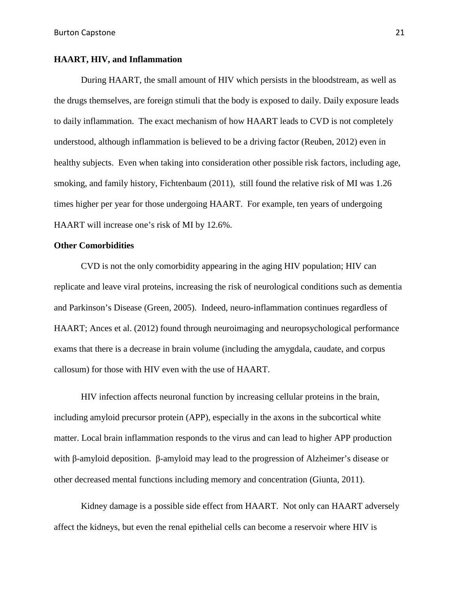### **HAART, HIV, and Inflammation**

During HAART, the small amount of HIV which persists in the bloodstream, as well as the drugs themselves, are foreign stimuli that the body is exposed to daily. Daily exposure leads to daily inflammation. The exact mechanism of how HAART leads to CVD is not completely understood, although inflammation is believed to be a driving factor (Reuben, 2012) even in healthy subjects. Even when taking into consideration other possible risk factors, including age, smoking, and family history, Fichtenbaum (2011), still found the relative risk of MI was 1.26 times higher per year for those undergoing HAART. For example, ten years of undergoing HAART will increase one's risk of MI by 12.6%.

### **Other Comorbidities**

CVD is not the only comorbidity appearing in the aging HIV population; HIV can replicate and leave viral proteins, increasing the risk of neurological conditions such as dementia and Parkinson's Disease (Green, 2005). Indeed, neuro-inflammation continues regardless of HAART; Ances et al. (2012) found through neuroimaging and neuropsychological performance exams that there is a decrease in brain volume (including the amygdala, caudate, and corpus callosum) for those with HIV even with the use of HAART.

HIV infection affects neuronal function by increasing cellular proteins in the brain, including amyloid precursor protein (APP), especially in the axons in the subcortical white matter. Local brain inflammation responds to the virus and can lead to higher APP production with β-amyloid deposition. β-amyloid may lead to the progression of Alzheimer's disease or other decreased mental functions including memory and concentration (Giunta, 2011).

Kidney damage is a possible side effect from HAART. Not only can HAART adversely affect the kidneys, but even the renal epithelial cells can become a reservoir where HIV is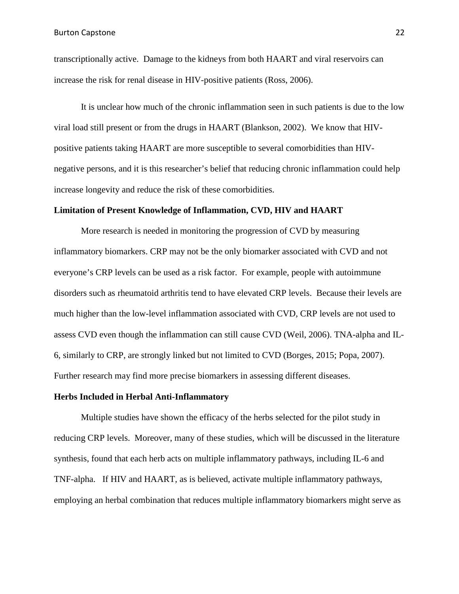transcriptionally active. Damage to the kidneys from both HAART and viral reservoirs can increase the risk for renal disease in HIV-positive patients (Ross, 2006).

It is unclear how much of the chronic inflammation seen in such patients is due to the low viral load still present or from the drugs in HAART (Blankson, 2002). We know that HIVpositive patients taking HAART are more susceptible to several comorbidities than HIVnegative persons, and it is this researcher's belief that reducing chronic inflammation could help increase longevity and reduce the risk of these comorbidities.

#### **Limitation of Present Knowledge of Inflammation, CVD, HIV and HAART**

More research is needed in monitoring the progression of CVD by measuring inflammatory biomarkers. CRP may not be the only biomarker associated with CVD and not everyone's CRP levels can be used as a risk factor. For example, people with autoimmune disorders such as rheumatoid arthritis tend to have elevated CRP levels. Because their levels are much higher than the low-level inflammation associated with CVD, CRP levels are not used to assess CVD even though the inflammation can still cause CVD (Weil, 2006). TNA-alpha and IL-6, similarly to CRP, are strongly linked but not limited to CVD (Borges, 2015; Popa, 2007). Further research may find more precise biomarkers in assessing different diseases.

### **Herbs Included in Herbal Anti-Inflammatory**

Multiple studies have shown the efficacy of the herbs selected for the pilot study in reducing CRP levels. Moreover, many of these studies, which will be discussed in the literature synthesis, found that each herb acts on multiple inflammatory pathways, including IL-6 and TNF-alpha. If HIV and HAART, as is believed, activate multiple inflammatory pathways, employing an herbal combination that reduces multiple inflammatory biomarkers might serve as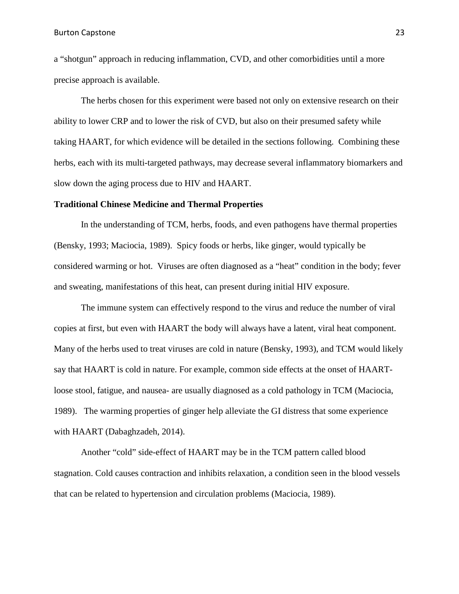Burton Capstone 23

a "shotgun" approach in reducing inflammation, CVD, and other comorbidities until a more precise approach is available.

The herbs chosen for this experiment were based not only on extensive research on their ability to lower CRP and to lower the risk of CVD, but also on their presumed safety while taking HAART, for which evidence will be detailed in the sections following. Combining these herbs, each with its multi-targeted pathways, may decrease several inflammatory biomarkers and slow down the aging process due to HIV and HAART.

#### **Traditional Chinese Medicine and Thermal Properties**

In the understanding of TCM, herbs, foods, and even pathogens have thermal properties (Bensky, 1993; Maciocia, 1989). Spicy foods or herbs, like ginger, would typically be considered warming or hot. Viruses are often diagnosed as a "heat" condition in the body; fever and sweating, manifestations of this heat, can present during initial HIV exposure.

The immune system can effectively respond to the virus and reduce the number of viral copies at first, but even with HAART the body will always have a latent, viral heat component. Many of the herbs used to treat viruses are cold in nature (Bensky, 1993), and TCM would likely say that HAART is cold in nature. For example, common side effects at the onset of HAARTloose stool, fatigue, and nausea- are usually diagnosed as a cold pathology in TCM (Maciocia, 1989). The warming properties of ginger help alleviate the GI distress that some experience with HAART (Dabaghzadeh, 2014).

Another "cold" side-effect of HAART may be in the TCM pattern called blood stagnation. Cold causes contraction and inhibits relaxation, a condition seen in the blood vessels that can be related to hypertension and circulation problems (Maciocia, 1989).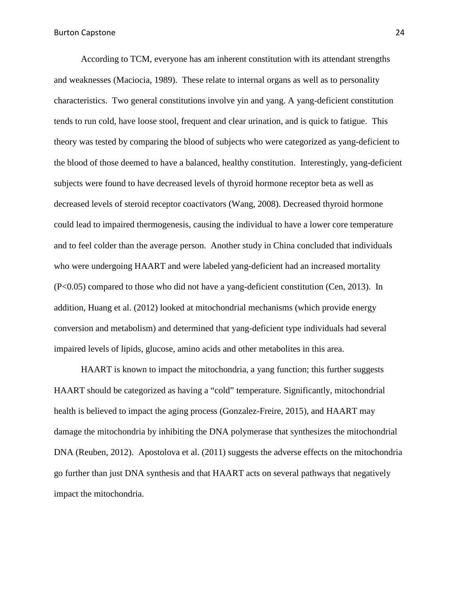According to TCM, everyone has am inherent constitution with its attendant strengths and weaknesses (Maciocia, 1989). These relate to internal organs as well as to personality characteristics. Two general constitutions involve yin and yang. A yang-deficient constitution tends to run cold, have loose stool, frequent and clear urination, and is quick to fatigue. This theory was tested by comparing the blood of subjects who were categorized as yang-deficient to the blood of those deemed to have a balanced, healthy constitution. Interestingly, yang-deficient subjects were found to have decreased levels of thyroid hormone receptor beta as well as decreased levels of steroid receptor coactivators (Wang, 2008). Decreased thyroid hormone could lead to impaired thermogenesis, causing the individual to have a lower core temperature and to feel colder than the average person. Another study in China concluded that individuals who were undergoing HAART and were labeled yang-deficient had an increased mortality (P<0.05) compared to those who did not have a yang-deficient constitution (Cen, 2013). In addition, Huang et al. (2012) looked at mitochondrial mechanisms (which provide energy conversion and metabolism) and determined that yang-deficient type individuals had several impaired levels of lipids, glucose, amino acids and other metabolites in this area.

HAART is known to impact the mitochondria, a yang function; this further suggests HAART should be categorized as having a "cold" temperature. Significantly, mitochondrial health is believed to impact the aging process (Gonzalez-Freire, 2015), and HAART may damage the mitochondria by inhibiting the DNA polymerase that synthesizes the mitochondrial DNA (Reuben, 2012). Apostolova et al. (2011) suggests the adverse effects on the mitochondria go further than just DNA synthesis and that HAART acts on several pathways that negatively impact the mitochondria.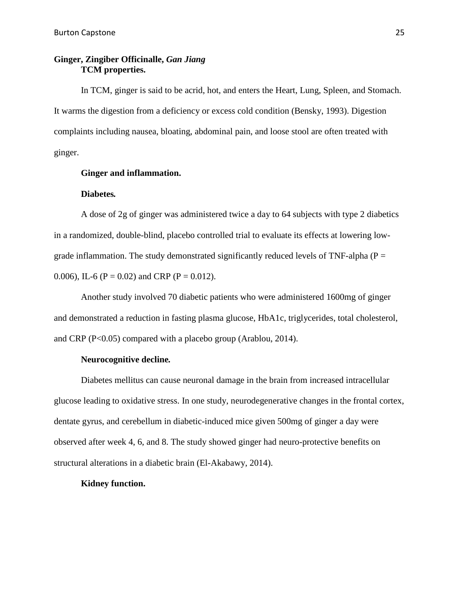### **Ginger, Zingiber Officinalle,** *Gan Jiang* **TCM properties.**

In TCM, ginger is said to be acrid, hot, and enters the Heart, Lung, Spleen, and Stomach. It warms the digestion from a deficiency or excess cold condition (Bensky, 1993). Digestion complaints including nausea, bloating, abdominal pain, and loose stool are often treated with ginger.

### **Ginger and inflammation.**

#### **Diabetes***.*

A dose of 2g of ginger was administered twice a day to 64 subjects with type 2 diabetics in a randomized, double-blind, placebo controlled trial to evaluate its effects at lowering lowgrade inflammation. The study demonstrated significantly reduced levels of TNF-alpha ( $P =$ 0.006), IL-6 (P = 0.02) and CRP (P = 0.012).

Another study involved 70 diabetic patients who were administered 1600mg of ginger and demonstrated a reduction in fasting plasma glucose, HbA1c, triglycerides, total cholesterol, and CRP (P<0.05) compared with a placebo group (Arablou, 2014).

### **Neurocognitive decline***.*

Diabetes mellitus can cause neuronal damage in the brain from increased intracellular glucose leading to oxidative stress. In one study, neurodegenerative changes in the frontal cortex, dentate gyrus, and cerebellum in diabetic-induced mice given 500mg of ginger a day were observed after week 4, 6, and 8. The study showed ginger had neuro-protective benefits on structural alterations in a diabetic brain (El-Akabawy, 2014).

### **Kidney function.**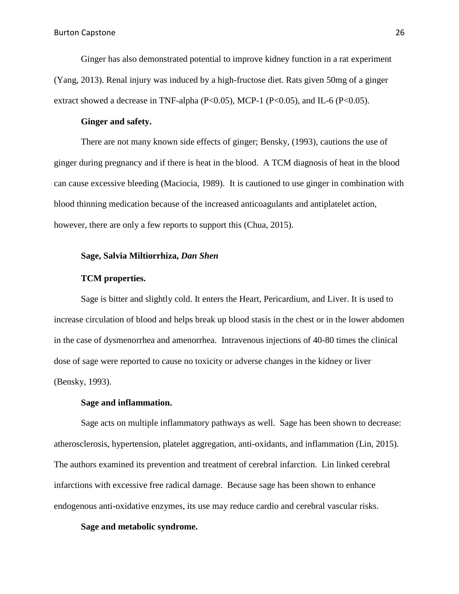Ginger has also demonstrated potential to improve kidney function in a rat experiment (Yang, 2013). Renal injury was induced by a high-fructose diet. Rats given 50mg of a ginger extract showed a decrease in TNF-alpha  $(P<0.05)$ , MCP-1  $(P<0.05)$ , and IL-6  $(P<0.05)$ .

### **Ginger and safety.**

There are not many known side effects of ginger; Bensky, (1993), cautions the use of ginger during pregnancy and if there is heat in the blood. A TCM diagnosis of heat in the blood can cause excessive bleeding (Maciocia, 1989). It is cautioned to use ginger in combination with blood thinning medication because of the increased anticoagulants and antiplatelet action, however, there are only a few reports to support this (Chua, 2015).

### **Sage, Salvia Miltiorrhiza,** *Dan Shen*

### **TCM properties.**

Sage is bitter and slightly cold. It enters the Heart, Pericardium, and Liver. It is used to increase circulation of blood and helps break up blood stasis in the chest or in the lower abdomen in the case of dysmenorrhea and amenorrhea. Intravenous injections of 40-80 times the clinical dose of sage were reported to cause no toxicity or adverse changes in the kidney or liver (Bensky, 1993).

#### **Sage and inflammation.**

Sage acts on multiple inflammatory pathways as well. Sage has been shown to decrease: atherosclerosis, hypertension, platelet aggregation, anti-oxidants, and inflammation (Lin, 2015). The authors examined its prevention and treatment of cerebral infarction. Lin linked cerebral infarctions with excessive free radical damage. Because sage has been shown to enhance endogenous anti-oxidative enzymes, its use may reduce cardio and cerebral vascular risks.

### **Sage and metabolic syndrome.**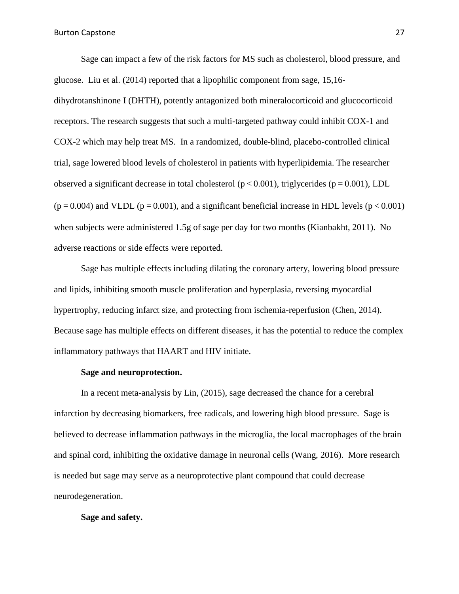Sage can impact a few of the risk factors for MS such as cholesterol, blood pressure, and glucose. Liu et al. (2014) reported that a lipophilic component from sage, 15,16 dihydrotanshinone I (DHTH), potently antagonized both mineralocorticoid and glucocorticoid receptors. The research suggests that such a multi-targeted pathway could inhibit COX-1 and COX-2 which may help treat MS. In a randomized, double-blind, placebo-controlled clinical trial, sage lowered blood levels of cholesterol in patients with hyperlipidemia. The researcher observed a significant decrease in total cholesterol ( $p < 0.001$ ), triglycerides ( $p = 0.001$ ), LDL  $(p = 0.004)$  and VLDL  $(p = 0.001)$ , and a significant beneficial increase in HDL levels  $(p < 0.001)$ when subjects were administered 1.5g of sage per day for two months (Kianbakht, 2011). No adverse reactions or side effects were reported.

Sage has multiple effects including dilating the coronary artery, lowering blood pressure and lipids, inhibiting smooth muscle proliferation and hyperplasia, reversing myocardial hypertrophy, reducing infarct size, and protecting from ischemia-reperfusion (Chen, 2014). Because sage has multiple effects on different diseases, it has the potential to reduce the complex inflammatory pathways that HAART and HIV initiate.

#### **Sage and neuroprotection.**

In a recent meta-analysis by Lin, (2015), sage decreased the chance for a cerebral infarction by decreasing biomarkers, free radicals, and lowering high blood pressure. Sage is believed to decrease inflammation pathways in the microglia, the local macrophages of the brain and spinal cord, inhibiting the oxidative damage in neuronal cells (Wang, 2016). More research is needed but sage may serve as a neuroprotective plant compound that could decrease neurodegeneration.

#### **Sage and safety.**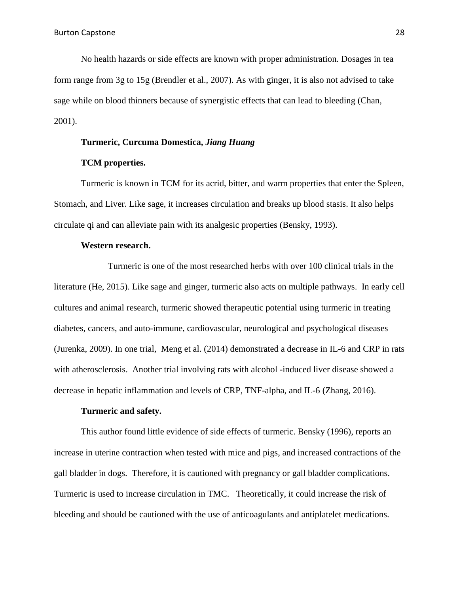No health hazards or side effects are known with proper administration. Dosages in tea form range from 3g to 15g (Brendler et al., 2007). As with ginger, it is also not advised to take sage while on blood thinners because of synergistic effects that can lead to bleeding (Chan, 2001).

### **Turmeric, Curcuma Domestica,** *Jiang Huang*

### **TCM properties.**

Turmeric is known in TCM for its acrid, bitter, and warm properties that enter the Spleen, Stomach, and Liver. Like sage, it increases circulation and breaks up blood stasis. It also helps circulate qi and can alleviate pain with its analgesic properties (Bensky, 1993).

#### **Western research.**

Turmeric is one of the most researched herbs with over 100 clinical trials in the literature (He, 2015). Like sage and ginger, turmeric also acts on multiple pathways. In early cell cultures and animal research, turmeric showed therapeutic potential using turmeric in treating diabetes, cancers, and auto-immune, cardiovascular, neurological and psychological diseases (Jurenka, 2009). In one trial, Meng et al. (2014) demonstrated a decrease in IL-6 and CRP in rats with atherosclerosis. Another trial involving rats with alcohol -induced liver disease showed a decrease in hepatic inflammation and levels of CRP, TNF-alpha, and IL-6 (Zhang, 2016).

### **Turmeric and safety.**

This author found little evidence of side effects of turmeric. Bensky (1996), reports an increase in uterine contraction when tested with mice and pigs, and increased contractions of the gall bladder in dogs. Therefore, it is cautioned with pregnancy or gall bladder complications. Turmeric is used to increase circulation in TMC. Theoretically, it could increase the risk of bleeding and should be cautioned with the use of anticoagulants and antiplatelet medications.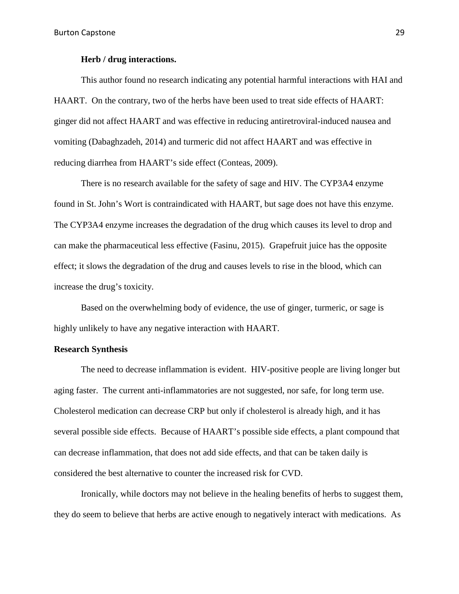### **Herb / drug interactions.**

This author found no research indicating any potential harmful interactions with HAI and HAART. On the contrary, two of the herbs have been used to treat side effects of HAART: ginger did not affect HAART and was effective in reducing antiretroviral-induced nausea and vomiting (Dabaghzadeh, 2014) and turmeric did not affect HAART and was effective in reducing diarrhea from HAART's side effect (Conteas, 2009).

There is no research available for the safety of sage and HIV. The CYP3A4 enzyme found in St. John's Wort is contraindicated with HAART, but sage does not have this enzyme. The CYP3A4 enzyme increases the degradation of the drug which causes its level to drop and can make the pharmaceutical less effective (Fasinu, 2015). Grapefruit juice has the opposite effect; it slows the degradation of the drug and causes levels to rise in the blood, which can increase the drug's toxicity.

Based on the overwhelming body of evidence, the use of ginger, turmeric, or sage is highly unlikely to have any negative interaction with HAART.

### **Research Synthesis**

The need to decrease inflammation is evident. HIV-positive people are living longer but aging faster. The current anti-inflammatories are not suggested, nor safe, for long term use. Cholesterol medication can decrease CRP but only if cholesterol is already high, and it has several possible side effects. Because of HAART's possible side effects, a plant compound that can decrease inflammation, that does not add side effects, and that can be taken daily is considered the best alternative to counter the increased risk for CVD.

Ironically, while doctors may not believe in the healing benefits of herbs to suggest them, they do seem to believe that herbs are active enough to negatively interact with medications. As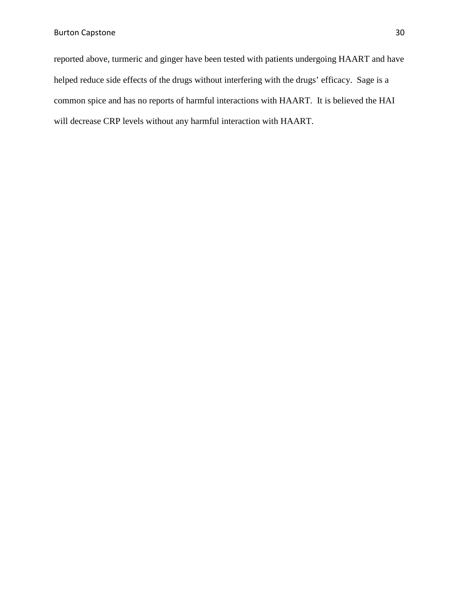reported above, turmeric and ginger have been tested with patients undergoing HAART and have helped reduce side effects of the drugs without interfering with the drugs' efficacy. Sage is a common spice and has no reports of harmful interactions with HAART. It is believed the HAI will decrease CRP levels without any harmful interaction with HAART.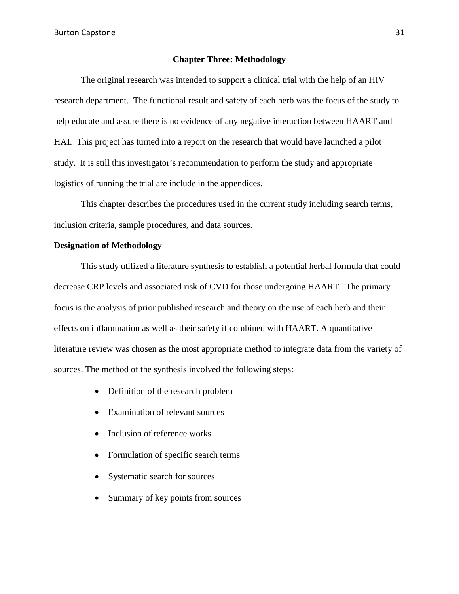Burton Capstone 31

### **Chapter Three: Methodology**

The original research was intended to support a clinical trial with the help of an HIV research department. The functional result and safety of each herb was the focus of the study to help educate and assure there is no evidence of any negative interaction between HAART and HAI. This project has turned into a report on the research that would have launched a pilot study. It is still this investigator's recommendation to perform the study and appropriate logistics of running the trial are include in the appendices.

This chapter describes the procedures used in the current study including search terms, inclusion criteria, sample procedures, and data sources.

### **Designation of Methodology**

This study utilized a literature synthesis to establish a potential herbal formula that could decrease CRP levels and associated risk of CVD for those undergoing HAART. The primary focus is the analysis of prior published research and theory on the use of each herb and their effects on inflammation as well as their safety if combined with HAART. A quantitative literature review was chosen as the most appropriate method to integrate data from the variety of sources. The method of the synthesis involved the following steps:

- Definition of the research problem
- Examination of relevant sources
- Inclusion of reference works
- Formulation of specific search terms
- Systematic search for sources
- Summary of key points from sources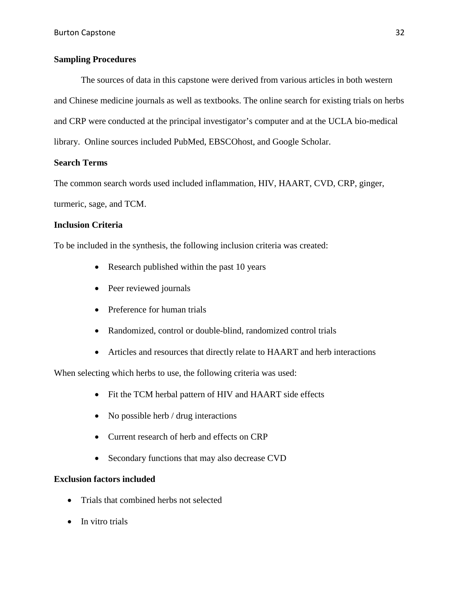### **Sampling Procedures**

The sources of data in this capstone were derived from various articles in both western and Chinese medicine journals as well as textbooks. The online search for existing trials on herbs and CRP were conducted at the principal investigator's computer and at the UCLA bio-medical library. Online sources included PubMed, EBSCOhost, and Google Scholar.

### **Search Terms**

The common search words used included inflammation, HIV, HAART, CVD, CRP, ginger, turmeric, sage, and TCM.

### **Inclusion Criteria**

To be included in the synthesis, the following inclusion criteria was created:

- Research published within the past 10 years
- Peer reviewed journals
- Preference for human trials
- Randomized, control or double-blind, randomized control trials
- Articles and resources that directly relate to HAART and herb interactions

When selecting which herbs to use, the following criteria was used:

- Fit the TCM herbal pattern of HIV and HAART side effects
- No possible herb / drug interactions
- Current research of herb and effects on CRP
- Secondary functions that may also decrease CVD

### **Exclusion factors included**

- Trials that combined herbs not selected
- In vitro trials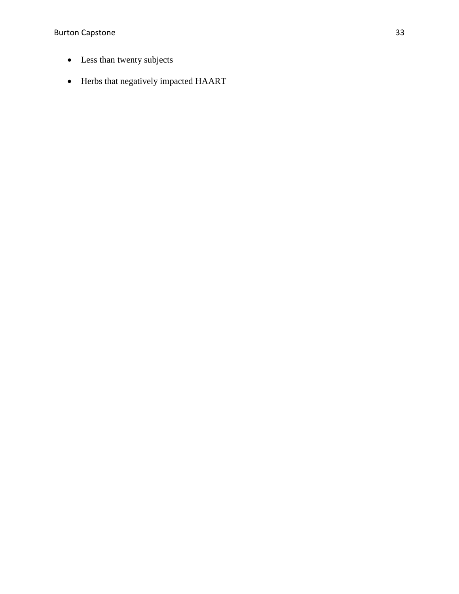Burton Capstone 33

- Less than twenty subjects
- Herbs that negatively impacted HAART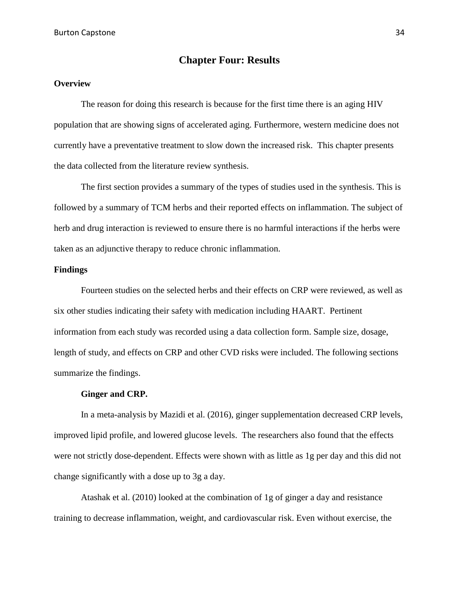# **Chapter Four: Results**

### **Overview**

The reason for doing this research is because for the first time there is an aging HIV population that are showing signs of accelerated aging. Furthermore, western medicine does not currently have a preventative treatment to slow down the increased risk. This chapter presents the data collected from the literature review synthesis.

The first section provides a summary of the types of studies used in the synthesis. This is followed by a summary of TCM herbs and their reported effects on inflammation. The subject of herb and drug interaction is reviewed to ensure there is no harmful interactions if the herbs were taken as an adjunctive therapy to reduce chronic inflammation.

### **Findings**

Fourteen studies on the selected herbs and their effects on CRP were reviewed, as well as six other studies indicating their safety with medication including HAART. Pertinent information from each study was recorded using a data collection form. Sample size, dosage, length of study, and effects on CRP and other CVD risks were included. The following sections summarize the findings.

### **Ginger and CRP.**

In a meta-analysis by Mazidi et al. (2016), ginger supplementation decreased CRP levels, improved lipid profile, and lowered glucose levels. The researchers also found that the effects were not strictly dose-dependent. Effects were shown with as little as 1g per day and this did not change significantly with a dose up to 3g a day.

Atashak et al. (2010) looked at the combination of 1g of ginger a day and resistance training to decrease inflammation, weight, and cardiovascular risk. Even without exercise, the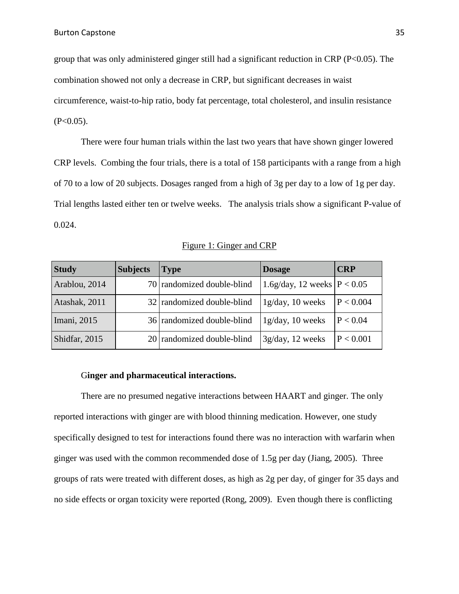group that was only administered ginger still had a significant reduction in CRP (P<0.05). The combination showed not only a decrease in CRP, but significant decreases in waist circumference, waist-to-hip ratio, body fat percentage, total cholesterol, and insulin resistance  $(P<0.05)$ .

There were four human trials within the last two years that have shown ginger lowered CRP levels. Combing the four trials, there is a total of 158 participants with a range from a high of 70 to a low of 20 subjects. Dosages ranged from a high of 3g per day to a low of 1g per day. Trial lengths lasted either ten or twelve weeks. The analysis trials show a significant P-value of 0.024.

| <b>Study</b>  | <b>Subjects</b> | <b>Type</b>                | <b>Dosage</b>                 | <b>CRP</b> |
|---------------|-----------------|----------------------------|-------------------------------|------------|
| Arablou, 2014 |                 | 70 randomized double-blind | 1.6g/day, 12 weeks $P < 0.05$ |            |
| Atashak, 2011 |                 | 32 randomized double-blind | 1g/day, 10 weeks              | P < 0.004  |
| Imani, 2015   |                 | 36 randomized double-blind | 1g/day, 10 weeks              | P < 0.04   |
| Shidfar, 2015 |                 | 20 randomized double-blind | 3g/day, 12 weeks              | P < 0.001  |

### Figure 1: Ginger and CRP

### G**inger and pharmaceutical interactions.**

There are no presumed negative interactions between HAART and ginger. The only reported interactions with ginger are with blood thinning medication. However, one study specifically designed to test for interactions found there was no interaction with warfarin when ginger was used with the common recommended dose of 1.5g per day (Jiang, 2005). Three groups of rats were treated with different doses, as high as 2g per day, of ginger for 35 days and no side effects or organ toxicity were reported (Rong, 2009). Even though there is conflicting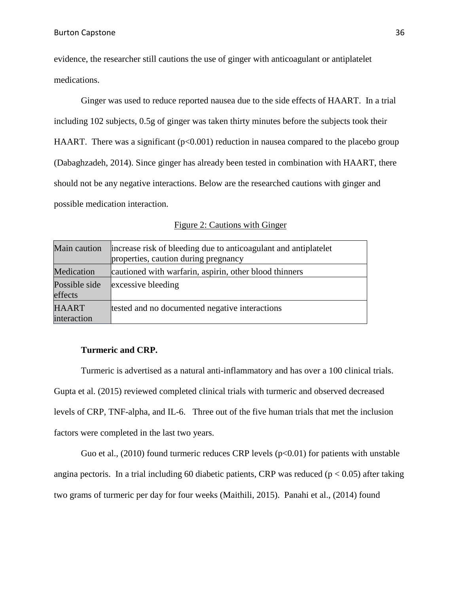evidence, the researcher still cautions the use of ginger with anticoagulant or antiplatelet medications.

Ginger was used to reduce reported nausea due to the side effects of HAART. In a trial including 102 subjects, 0.5g of ginger was taken thirty minutes before the subjects took their HAART. There was a significant ( $p<0.001$ ) reduction in nausea compared to the placebo group (Dabaghzadeh, 2014). Since ginger has already been tested in combination with HAART, there should not be any negative interactions. Below are the researched cautions with ginger and possible medication interaction.

|  | <b>Figure 2: Cautions with Ginger</b> |  |
|--|---------------------------------------|--|
|  |                                       |  |

| Main caution                | increase risk of bleeding due to anticoagulant and antiplatelet<br>properties, caution during pregnancy |
|-----------------------------|---------------------------------------------------------------------------------------------------------|
| Medication                  | cautioned with warfarin, aspirin, other blood thinners                                                  |
| Possible side<br>effects    | excessive bleeding                                                                                      |
| <b>HAART</b><br>interaction | tested and no documented negative interactions                                                          |

### **Turmeric and CRP.**

Turmeric is advertised as a natural anti-inflammatory and has over a 100 clinical trials. Gupta et al. (2015) reviewed completed clinical trials with turmeric and observed decreased levels of CRP, TNF-alpha, and IL-6. Three out of the five human trials that met the inclusion factors were completed in the last two years.

Guo et al., (2010) found turmeric reduces CRP levels  $(p<0.01)$  for patients with unstable angina pectoris. In a trial including 60 diabetic patients, CRP was reduced ( $p < 0.05$ ) after taking two grams of turmeric per day for four weeks (Maithili, 2015). Panahi et al., (2014) found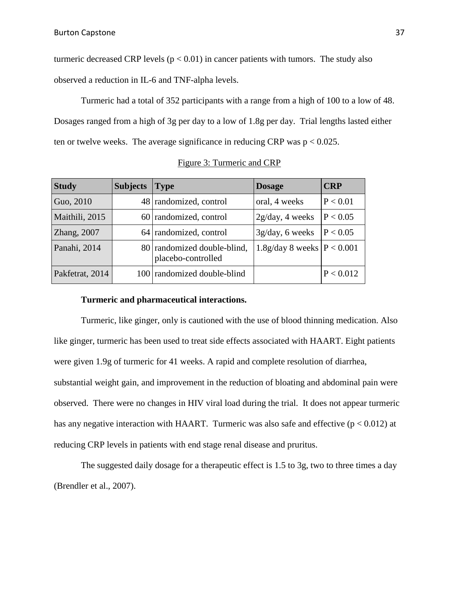turmeric decreased CRP levels ( $p < 0.01$ ) in cancer patients with tumors. The study also observed a reduction in IL-6 and TNF-alpha levels.

Turmeric had a total of 352 participants with a range from a high of 100 to a low of 48. Dosages ranged from a high of 3g per day to a low of 1.8g per day. Trial lengths lasted either ten or twelve weeks. The average significance in reducing CRP was  $p < 0.025$ .

| <b>Study</b>    | <b>Subjects</b> | <b>Type</b>                                       | <b>Dosage</b>                | <b>CRP</b> |
|-----------------|-----------------|---------------------------------------------------|------------------------------|------------|
| Guo, 2010       |                 | 48 randomized, control                            | oral, 4 weeks                | P < 0.01   |
| Maithili, 2015  |                 | 60 randomized, control                            | 2g/day, 4 weeks              | P < 0.05   |
| Zhang, 2007     |                 | 64 randomized, control                            | 3g/day, 6 weeks              | P < 0.05   |
| Panahi, 2014    |                 | 80 randomized double-blind,<br>placebo-controlled | 1.8g/day 8 weeks $P < 0.001$ |            |
| Pakfetrat, 2014 |                 | 100 randomized double-blind                       |                              | P < 0.012  |

Figure 3: Turmeric and CRP

#### **Turmeric and pharmaceutical interactions.**

Turmeric, like ginger, only is cautioned with the use of blood thinning medication. Also like ginger, turmeric has been used to treat side effects associated with HAART. Eight patients were given 1.9g of turmeric for 41 weeks. A rapid and complete resolution of diarrhea, substantial weight gain, and improvement in the reduction of bloating and abdominal pain were observed. There were no changes in HIV viral load during the trial. It does not appear turmeric has any negative interaction with HAART. Turmeric was also safe and effective ( $p < 0.012$ ) at reducing CRP levels in patients with end stage renal disease and pruritus.

The suggested daily dosage for a therapeutic effect is 1.5 to 3g, two to three times a day (Brendler et al., 2007).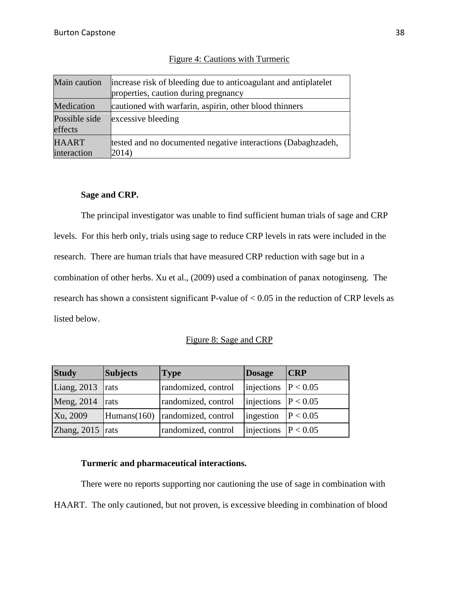| Main caution                | increase risk of bleeding due to anticoagulant and antiplatelet<br>properties, caution during pregnancy |
|-----------------------------|---------------------------------------------------------------------------------------------------------|
| Medication                  | cautioned with warfarin, aspirin, other blood thinners                                                  |
| Possible side<br>effects    | excessive bleeding                                                                                      |
| <b>HAART</b><br>interaction | tested and no documented negative interactions (Dabaghzadeh,<br>2014)                                   |

#### Figure 4: Cautions with Turmeric

#### **Sage and CRP.**

The principal investigator was unable to find sufficient human trials of sage and CRP levels. For this herb only, trials using sage to reduce CRP levels in rats were included in the research. There are human trials that have measured CRP reduction with sage but in a combination of other herbs. Xu et al., (2009) used a combination of panax notoginseng. The research has shown a consistent significant P-value of < 0.05 in the reduction of CRP levels as listed below.

#### Figure 8: Sage and CRP

| <b>Study</b>       | <b>Subjects</b> | <b>Type</b>                       | Dosage                 | CRP |
|--------------------|-----------------|-----------------------------------|------------------------|-----|
| Liang, $2013$ rats |                 | randomized, control               | injections $P < 0.05$  |     |
| Meng, $2014$ rats  |                 | randomized, control               | injections $P < 0.05$  |     |
| Xu, 2009           |                 | Humans(160)   randomized, control | ingestion   $P < 0.05$ |     |
| Zhang, $2015$ rats |                 | randomized, control               | injections $P < 0.05$  |     |

#### **Turmeric and pharmaceutical interactions.**

There were no reports supporting nor cautioning the use of sage in combination with HAART. The only cautioned, but not proven, is excessive bleeding in combination of blood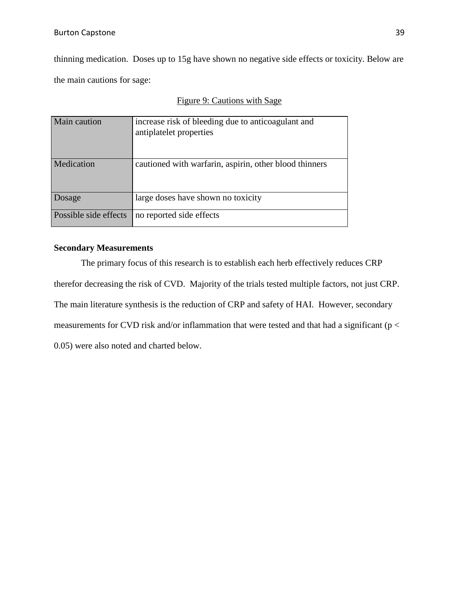thinning medication. Doses up to 15g have shown no negative side effects or toxicity. Below are the main cautions for sage:

|  |  |  |  | Figure 9: Cautions with Sage |  |  |
|--|--|--|--|------------------------------|--|--|
|--|--|--|--|------------------------------|--|--|

| Main caution          | increase risk of bleeding due to anticoagulant and<br>antiplatelet properties |
|-----------------------|-------------------------------------------------------------------------------|
| Medication            | cautioned with warfarin, aspirin, other blood thinners                        |
| Dosage                | large doses have shown no toxicity                                            |
| Possible side effects | no reported side effects                                                      |

#### **Secondary Measurements**

The primary focus of this research is to establish each herb effectively reduces CRP therefor decreasing the risk of CVD. Majority of the trials tested multiple factors, not just CRP. The main literature synthesis is the reduction of CRP and safety of HAI. However, secondary measurements for CVD risk and/or inflammation that were tested and that had a significant ( $p <$ 0.05) were also noted and charted below.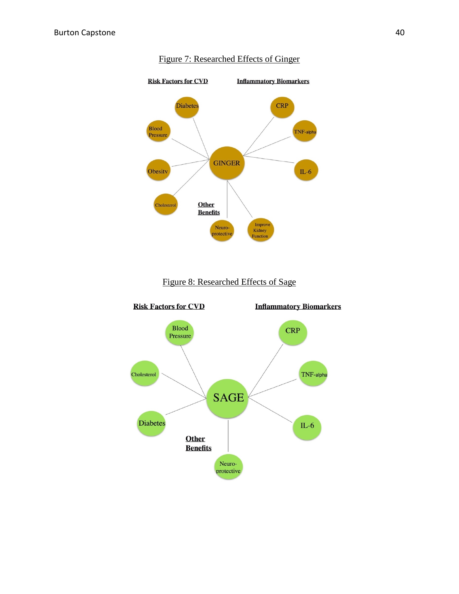

#### Figure 7: Researched Effects of Ginger



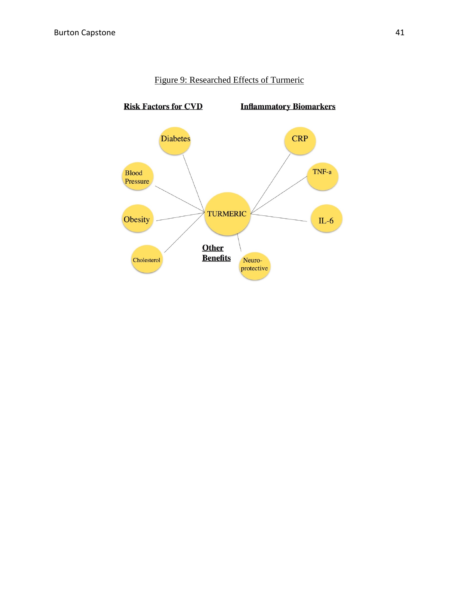

#### Figure 9: Researched Effects of Turmeric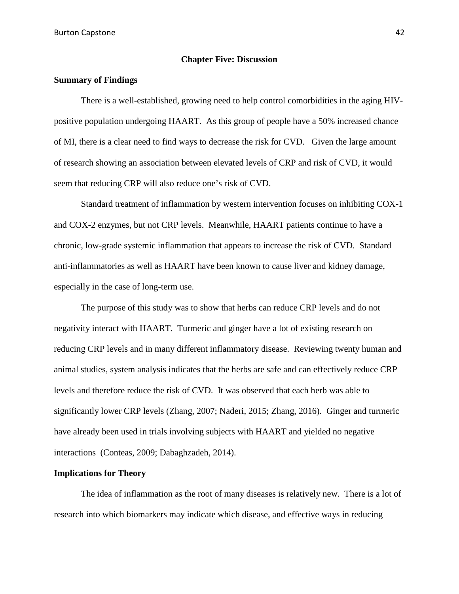#### **Chapter Five: Discussion**

#### **Summary of Findings**

There is a well-established, growing need to help control comorbidities in the aging HIVpositive population undergoing HAART. As this group of people have a 50% increased chance of MI, there is a clear need to find ways to decrease the risk for CVD. Given the large amount of research showing an association between elevated levels of CRP and risk of CVD, it would seem that reducing CRP will also reduce one's risk of CVD.

Standard treatment of inflammation by western intervention focuses on inhibiting COX-1 and COX-2 enzymes, but not CRP levels. Meanwhile, HAART patients continue to have a chronic, low-grade systemic inflammation that appears to increase the risk of CVD. Standard anti-inflammatories as well as HAART have been known to cause liver and kidney damage, especially in the case of long-term use.

The purpose of this study was to show that herbs can reduce CRP levels and do not negativity interact with HAART. Turmeric and ginger have a lot of existing research on reducing CRP levels and in many different inflammatory disease. Reviewing twenty human and animal studies, system analysis indicates that the herbs are safe and can effectively reduce CRP levels and therefore reduce the risk of CVD. It was observed that each herb was able to significantly lower CRP levels (Zhang, 2007; Naderi, 2015; Zhang, 2016). Ginger and turmeric have already been used in trials involving subjects with HAART and yielded no negative interactions (Conteas, 2009; Dabaghzadeh, 2014).

#### **Implications for Theory**

The idea of inflammation as the root of many diseases is relatively new. There is a lot of research into which biomarkers may indicate which disease, and effective ways in reducing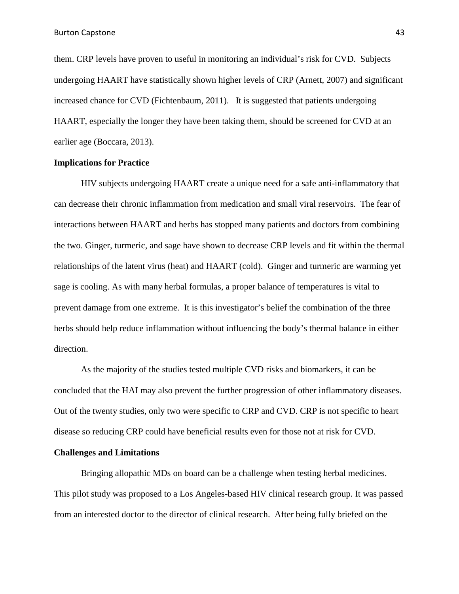them. CRP levels have proven to useful in monitoring an individual's risk for CVD. Subjects undergoing HAART have statistically shown higher levels of CRP (Arnett, 2007) and significant increased chance for CVD (Fichtenbaum, 2011). It is suggested that patients undergoing HAART, especially the longer they have been taking them, should be screened for CVD at an earlier age (Boccara, 2013).

#### **Implications for Practice**

HIV subjects undergoing HAART create a unique need for a safe anti-inflammatory that can decrease their chronic inflammation from medication and small viral reservoirs. The fear of interactions between HAART and herbs has stopped many patients and doctors from combining the two. Ginger, turmeric, and sage have shown to decrease CRP levels and fit within the thermal relationships of the latent virus (heat) and HAART (cold). Ginger and turmeric are warming yet sage is cooling. As with many herbal formulas, a proper balance of temperatures is vital to prevent damage from one extreme. It is this investigator's belief the combination of the three herbs should help reduce inflammation without influencing the body's thermal balance in either direction.

As the majority of the studies tested multiple CVD risks and biomarkers, it can be concluded that the HAI may also prevent the further progression of other inflammatory diseases. Out of the twenty studies, only two were specific to CRP and CVD. CRP is not specific to heart disease so reducing CRP could have beneficial results even for those not at risk for CVD.

#### **Challenges and Limitations**

Bringing allopathic MDs on board can be a challenge when testing herbal medicines. This pilot study was proposed to a Los Angeles-based HIV clinical research group. It was passed from an interested doctor to the director of clinical research. After being fully briefed on the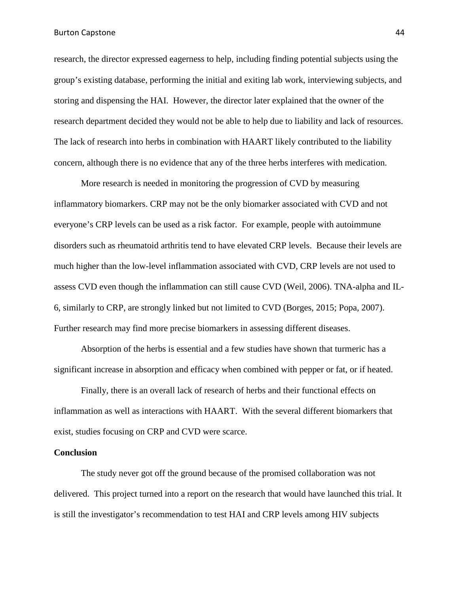Burton Capstone 44

research, the director expressed eagerness to help, including finding potential subjects using the group's existing database, performing the initial and exiting lab work, interviewing subjects, and storing and dispensing the HAI. However, the director later explained that the owner of the research department decided they would not be able to help due to liability and lack of resources. The lack of research into herbs in combination with HAART likely contributed to the liability concern, although there is no evidence that any of the three herbs interferes with medication.

More research is needed in monitoring the progression of CVD by measuring inflammatory biomarkers. CRP may not be the only biomarker associated with CVD and not everyone's CRP levels can be used as a risk factor. For example, people with autoimmune disorders such as rheumatoid arthritis tend to have elevated CRP levels. Because their levels are much higher than the low-level inflammation associated with CVD, CRP levels are not used to assess CVD even though the inflammation can still cause CVD (Weil, 2006). TNA-alpha and IL-6, similarly to CRP, are strongly linked but not limited to CVD (Borges, 2015; Popa, 2007). Further research may find more precise biomarkers in assessing different diseases.

Absorption of the herbs is essential and a few studies have shown that turmeric has a significant increase in absorption and efficacy when combined with pepper or fat, or if heated.

Finally, there is an overall lack of research of herbs and their functional effects on inflammation as well as interactions with HAART. With the several different biomarkers that exist, studies focusing on CRP and CVD were scarce.

#### **Conclusion**

The study never got off the ground because of the promised collaboration was not delivered. This project turned into a report on the research that would have launched this trial. It is still the investigator's recommendation to test HAI and CRP levels among HIV subjects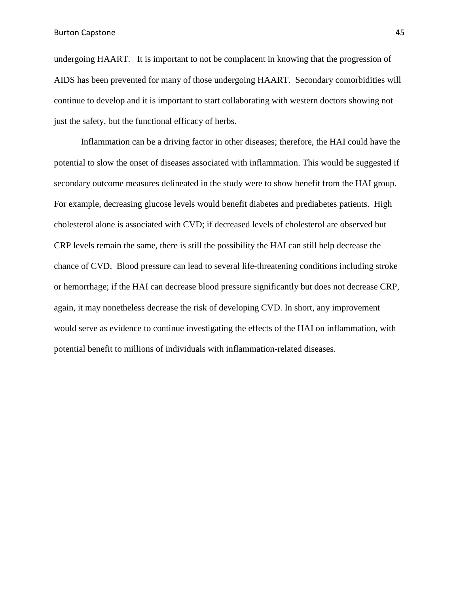undergoing HAART. It is important to not be complacent in knowing that the progression of AIDS has been prevented for many of those undergoing HAART. Secondary comorbidities will continue to develop and it is important to start collaborating with western doctors showing not just the safety, but the functional efficacy of herbs.

Inflammation can be a driving factor in other diseases; therefore, the HAI could have the potential to slow the onset of diseases associated with inflammation. This would be suggested if secondary outcome measures delineated in the study were to show benefit from the HAI group. For example, decreasing glucose levels would benefit diabetes and prediabetes patients. High cholesterol alone is associated with CVD; if decreased levels of cholesterol are observed but CRP levels remain the same, there is still the possibility the HAI can still help decrease the chance of CVD. Blood pressure can lead to several life-threatening conditions including stroke or hemorrhage; if the HAI can decrease blood pressure significantly but does not decrease CRP, again, it may nonetheless decrease the risk of developing CVD. In short, any improvement would serve as evidence to continue investigating the effects of the HAI on inflammation, with potential benefit to millions of individuals with inflammation-related diseases.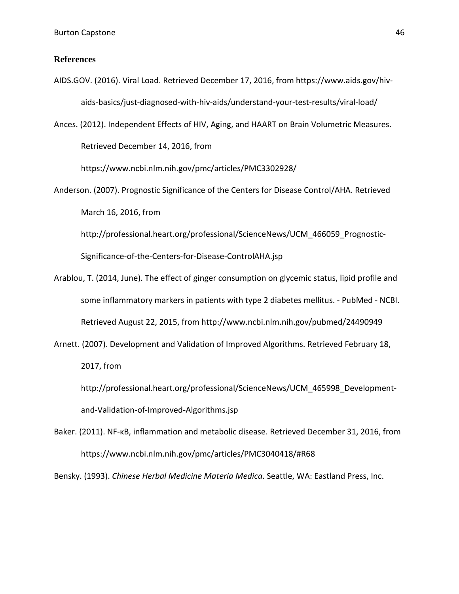#### **References**

- AIDS.GOV. (2016). Viral Load. Retrieved December 17, 2016, from https://www.aids.gov/hivaids-basics/just-diagnosed-with-hiv-aids/understand-your-test-results/viral-load/
- Ances. (2012). Independent Effects of HIV, Aging, and HAART on Brain Volumetric Measures. Retrieved December 14, 2016, from

https://www.ncbi.nlm.nih.gov/pmc/articles/PMC3302928/

Anderson. (2007). Prognostic Significance of the Centers for Disease Control/AHA. Retrieved March 16, 2016, from

http://professional.heart.org/professional/ScienceNews/UCM\_466059\_Prognostic-Significance-of-the-Centers-for-Disease-ControlAHA.jsp

- Arablou, T. (2014, June). The effect of ginger consumption on glycemic status, lipid profile and some inflammatory markers in patients with type 2 diabetes mellitus. - PubMed - NCBI. Retrieved August 22, 2015, from http://www.ncbi.nlm.nih.gov/pubmed/24490949
- Arnett. (2007). Development and Validation of Improved Algorithms. Retrieved February 18, 2017, from

http://professional.heart.org/professional/ScienceNews/UCM\_465998\_Developmentand-Validation-of-Improved-Algorithms.jsp

Baker. (2011). NF-κB, inflammation and metabolic disease. Retrieved December 31, 2016, from https://www.ncbi.nlm.nih.gov/pmc/articles/PMC3040418/#R68

Bensky. (1993). *Chinese Herbal Medicine Materia Medica*. Seattle, WA: Eastland Press, Inc.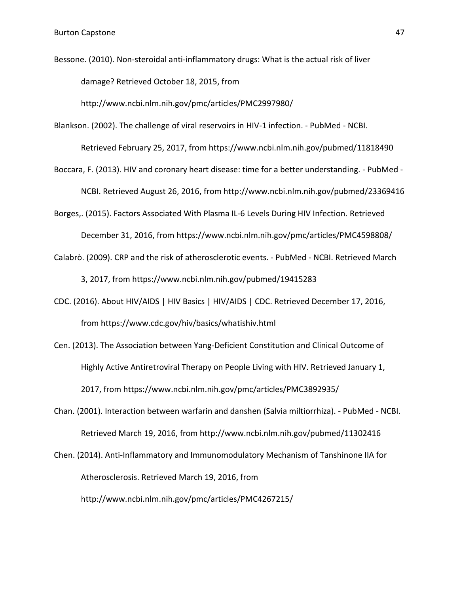Bessone. (2010). Non-steroidal anti-inflammatory drugs: What is the actual risk of liver damage? Retrieved October 18, 2015, from

http://www.ncbi.nlm.nih.gov/pmc/articles/PMC2997980/

Blankson. (2002). The challenge of viral reservoirs in HIV-1 infection. - PubMed - NCBI.

Retrieved February 25, 2017, from https://www.ncbi.nlm.nih.gov/pubmed/11818490

Boccara, F. (2013). HIV and coronary heart disease: time for a better understanding. - PubMed - NCBI. Retrieved August 26, 2016, from http://www.ncbi.nlm.nih.gov/pubmed/23369416

Borges,. (2015). Factors Associated With Plasma IL-6 Levels During HIV Infection. Retrieved

December 31, 2016, from https://www.ncbi.nlm.nih.gov/pmc/articles/PMC4598808/

- Calabrò. (2009). CRP and the risk of atherosclerotic events. PubMed NCBI. Retrieved March 3, 2017, from https://www.ncbi.nlm.nih.gov/pubmed/19415283
- CDC. (2016). About HIV/AIDS | HIV Basics | HIV/AIDS | CDC. Retrieved December 17, 2016, from https://www.cdc.gov/hiv/basics/whatishiv.html
- Cen. (2013). The Association between Yang-Deficient Constitution and Clinical Outcome of Highly Active Antiretroviral Therapy on People Living with HIV. Retrieved January 1, 2017, from https://www.ncbi.nlm.nih.gov/pmc/articles/PMC3892935/
- Chan. (2001). Interaction between warfarin and danshen (Salvia miltiorrhiza). PubMed NCBI. Retrieved March 19, 2016, from http://www.ncbi.nlm.nih.gov/pubmed/11302416
- Chen. (2014). Anti-Inflammatory and Immunomodulatory Mechanism of Tanshinone IIA for Atherosclerosis. Retrieved March 19, 2016, from http://www.ncbi.nlm.nih.gov/pmc/articles/PMC4267215/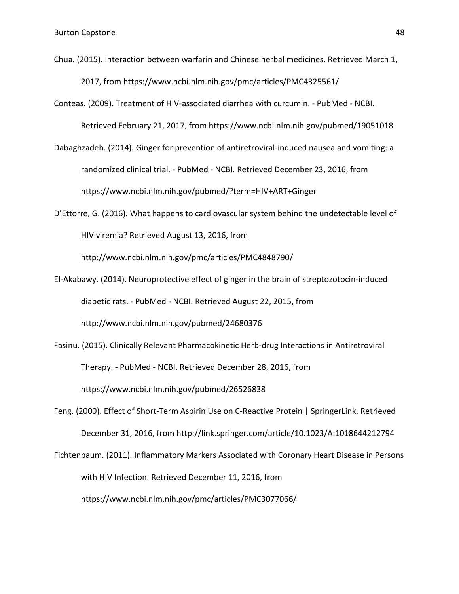- Chua. (2015). Interaction between warfarin and Chinese herbal medicines. Retrieved March 1, 2017, from https://www.ncbi.nlm.nih.gov/pmc/articles/PMC4325561/
- Conteas. (2009). Treatment of HIV-associated diarrhea with curcumin. PubMed NCBI. Retrieved February 21, 2017, from https://www.ncbi.nlm.nih.gov/pubmed/19051018
- Dabaghzadeh. (2014). Ginger for prevention of antiretroviral-induced nausea and vomiting: a randomized clinical trial. - PubMed - NCBI. Retrieved December 23, 2016, from https://www.ncbi.nlm.nih.gov/pubmed/?term=HIV+ART+Ginger
- D'Ettorre, G. (2016). What happens to cardiovascular system behind the undetectable level of HIV viremia? Retrieved August 13, 2016, from

http://www.ncbi.nlm.nih.gov/pmc/articles/PMC4848790/

- El-Akabawy. (2014). Neuroprotective effect of ginger in the brain of streptozotocin-induced diabetic rats. - PubMed - NCBI. Retrieved August 22, 2015, from http://www.ncbi.nlm.nih.gov/pubmed/24680376
- Fasinu. (2015). Clinically Relevant Pharmacokinetic Herb-drug Interactions in Antiretroviral Therapy. - PubMed - NCBI. Retrieved December 28, 2016, from https://www.ncbi.nlm.nih.gov/pubmed/26526838
- Feng. (2000). Effect of Short-Term Aspirin Use on C-Reactive Protein | SpringerLink. Retrieved December 31, 2016, from http://link.springer.com/article/10.1023/A:1018644212794
- Fichtenbaum. (2011). Inflammatory Markers Associated with Coronary Heart Disease in Persons with HIV Infection. Retrieved December 11, 2016, from https://www.ncbi.nlm.nih.gov/pmc/articles/PMC3077066/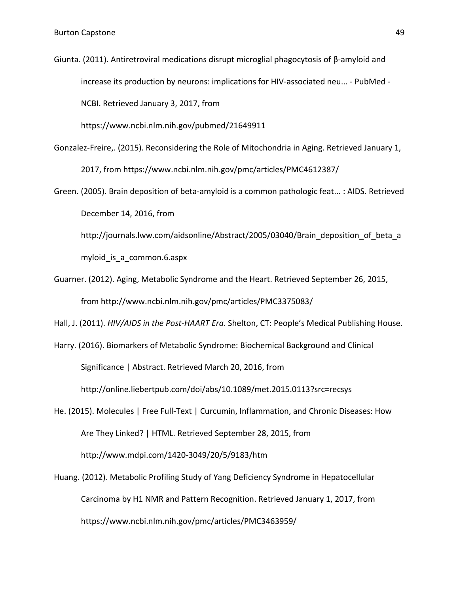Giunta. (2011). Antiretroviral medications disrupt microglial phagocytosis of β-amyloid and increase its production by neurons: implications for HIV-associated neu... - PubMed - NCBI. Retrieved January 3, 2017, from

https://www.ncbi.nlm.nih.gov/pubmed/21649911

- Gonzalez-Freire,. (2015). Reconsidering the Role of Mitochondria in Aging. Retrieved January 1, 2017, from https://www.ncbi.nlm.nih.gov/pmc/articles/PMC4612387/
- Green. (2005). Brain deposition of beta-amyloid is a common pathologic feat... : AIDS. Retrieved December 14, 2016, from
	- http://journals.lww.com/aidsonline/Abstract/2005/03040/Brain\_deposition\_of\_beta\_a myloid\_is\_a\_common.6.aspx
- Guarner. (2012). Aging, Metabolic Syndrome and the Heart. Retrieved September 26, 2015, from http://www.ncbi.nlm.nih.gov/pmc/articles/PMC3375083/
- Hall, J. (2011). *HIV/AIDS in the Post-HAART Era*. Shelton, CT: People's Medical Publishing House.
- Harry. (2016). Biomarkers of Metabolic Syndrome: Biochemical Background and Clinical Significance | Abstract. Retrieved March 20, 2016, from http://online.liebertpub.com/doi/abs/10.1089/met.2015.0113?src=recsys
- He. (2015). Molecules | Free Full-Text | Curcumin, Inflammation, and Chronic Diseases: How Are They Linked? | HTML. Retrieved September 28, 2015, from http://www.mdpi.com/1420-3049/20/5/9183/htm
- Huang. (2012). Metabolic Profiling Study of Yang Deficiency Syndrome in Hepatocellular Carcinoma by H1 NMR and Pattern Recognition. Retrieved January 1, 2017, from https://www.ncbi.nlm.nih.gov/pmc/articles/PMC3463959/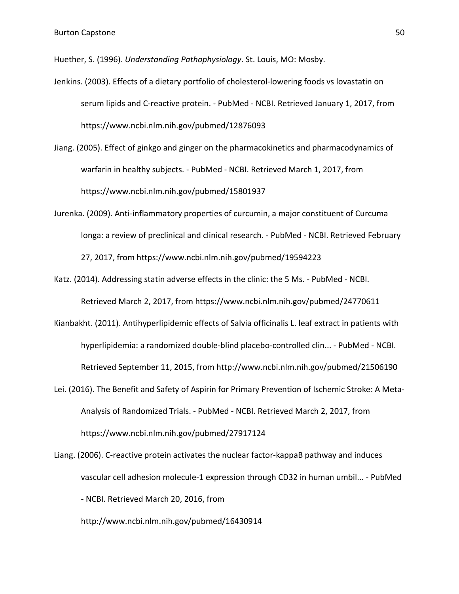Huether, S. (1996). *Understanding Pathophysiology*. St. Louis, MO: Mosby.

- Jenkins. (2003). Effects of a dietary portfolio of cholesterol-lowering foods vs lovastatin on serum lipids and C-reactive protein. - PubMed - NCBI. Retrieved January 1, 2017, from https://www.ncbi.nlm.nih.gov/pubmed/12876093
- Jiang. (2005). Effect of ginkgo and ginger on the pharmacokinetics and pharmacodynamics of warfarin in healthy subjects. - PubMed - NCBI. Retrieved March 1, 2017, from https://www.ncbi.nlm.nih.gov/pubmed/15801937
- Jurenka. (2009). Anti-inflammatory properties of curcumin, a major constituent of Curcuma longa: a review of preclinical and clinical research. - PubMed - NCBI. Retrieved February 27, 2017, from https://www.ncbi.nlm.nih.gov/pubmed/19594223
- Katz. (2014). Addressing statin adverse effects in the clinic: the 5 Ms. PubMed NCBI. Retrieved March 2, 2017, from https://www.ncbi.nlm.nih.gov/pubmed/24770611
- Kianbakht. (2011). Antihyperlipidemic effects of Salvia officinalis L. leaf extract in patients with hyperlipidemia: a randomized double-blind placebo-controlled clin... - PubMed - NCBI. Retrieved September 11, 2015, from http://www.ncbi.nlm.nih.gov/pubmed/21506190
- Lei. (2016). The Benefit and Safety of Aspirin for Primary Prevention of Ischemic Stroke: A Meta-Analysis of Randomized Trials. - PubMed - NCBI. Retrieved March 2, 2017, from https://www.ncbi.nlm.nih.gov/pubmed/27917124
- Liang. (2006). C-reactive protein activates the nuclear factor-kappaB pathway and induces vascular cell adhesion molecule-1 expression through CD32 in human umbil... - PubMed - NCBI. Retrieved March 20, 2016, from

http://www.ncbi.nlm.nih.gov/pubmed/16430914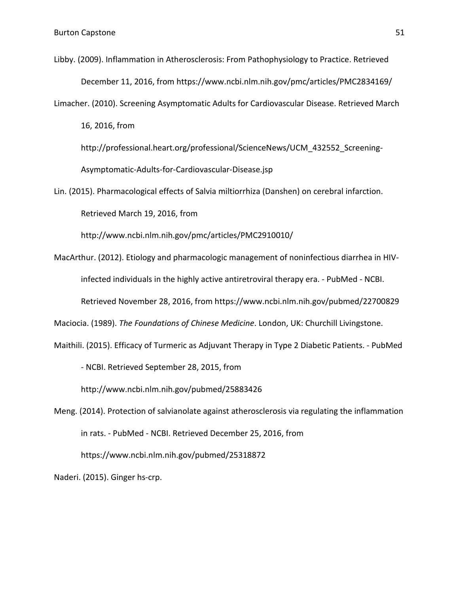Libby. (2009). Inflammation in Atherosclerosis: From Pathophysiology to Practice. Retrieved December 11, 2016, from https://www.ncbi.nlm.nih.gov/pmc/articles/PMC2834169/

Limacher. (2010). Screening Asymptomatic Adults for Cardiovascular Disease. Retrieved March

16, 2016, from

http://professional.heart.org/professional/ScienceNews/UCM\_432552\_Screening-Asymptomatic-Adults-for-Cardiovascular-Disease.jsp

Lin. (2015). Pharmacological effects of Salvia miltiorrhiza (Danshen) on cerebral infarction. Retrieved March 19, 2016, from

http://www.ncbi.nlm.nih.gov/pmc/articles/PMC2910010/

MacArthur. (2012). Etiology and pharmacologic management of noninfectious diarrhea in HIVinfected individuals in the highly active antiretroviral therapy era. - PubMed - NCBI.

Retrieved November 28, 2016, from https://www.ncbi.nlm.nih.gov/pubmed/22700829

Maciocia. (1989). *The Foundations of Chinese Medicine*. London, UK: Churchill Livingstone.

Maithili. (2015). Efficacy of Turmeric as Adjuvant Therapy in Type 2 Diabetic Patients. - PubMed

- NCBI. Retrieved September 28, 2015, from

http://www.ncbi.nlm.nih.gov/pubmed/25883426

Meng. (2014). Protection of salvianolate against atherosclerosis via regulating the inflammation in rats. - PubMed - NCBI. Retrieved December 25, 2016, from https://www.ncbi.nlm.nih.gov/pubmed/25318872

Naderi. (2015). Ginger hs-crp.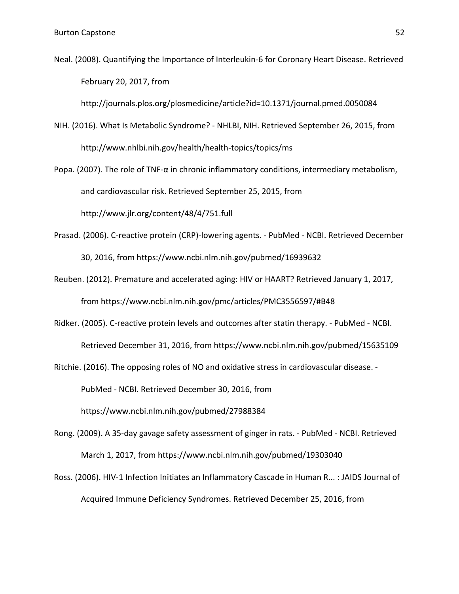Neal. (2008). Quantifying the Importance of Interleukin-6 for Coronary Heart Disease. Retrieved February 20, 2017, from

http://journals.plos.org/plosmedicine/article?id=10.1371/journal.pmed.0050084

- NIH. (2016). What Is Metabolic Syndrome? NHLBI, NIH. Retrieved September 26, 2015, from http://www.nhlbi.nih.gov/health/health-topics/topics/ms
- Popa. (2007). The role of TNF- $\alpha$  in chronic inflammatory conditions, intermediary metabolism, and cardiovascular risk. Retrieved September 25, 2015, from http://www.jlr.org/content/48/4/751.full
- Prasad. (2006). C-reactive protein (CRP)-lowering agents. PubMed NCBI. Retrieved December 30, 2016, from https://www.ncbi.nlm.nih.gov/pubmed/16939632
- Reuben. (2012). Premature and accelerated aging: HIV or HAART? Retrieved January 1, 2017, from https://www.ncbi.nlm.nih.gov/pmc/articles/PMC3556597/#B48
- Ridker. (2005). C-reactive protein levels and outcomes after statin therapy. PubMed NCBI. Retrieved December 31, 2016, from https://www.ncbi.nlm.nih.gov/pubmed/15635109

Ritchie. (2016). The opposing roles of NO and oxidative stress in cardiovascular disease. - PubMed - NCBI. Retrieved December 30, 2016, from https://www.ncbi.nlm.nih.gov/pubmed/27988384

- Rong. (2009). A 35-day gavage safety assessment of ginger in rats. PubMed NCBI. Retrieved March 1, 2017, from https://www.ncbi.nlm.nih.gov/pubmed/19303040
- Ross. (2006). HIV-1 Infection Initiates an Inflammatory Cascade in Human R... : JAIDS Journal of Acquired Immune Deficiency Syndromes. Retrieved December 25, 2016, from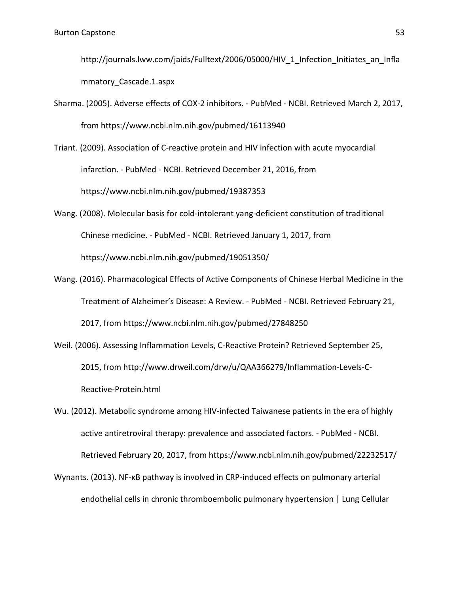http://journals.lww.com/jaids/Fulltext/2006/05000/HIV\_1\_Infection\_Initiates\_an\_Infla mmatory\_Cascade.1.aspx

Sharma. (2005). Adverse effects of COX-2 inhibitors. - PubMed - NCBI. Retrieved March 2, 2017, from https://www.ncbi.nlm.nih.gov/pubmed/16113940

Triant. (2009). Association of C-reactive protein and HIV infection with acute myocardial infarction. - PubMed - NCBI. Retrieved December 21, 2016, from https://www.ncbi.nlm.nih.gov/pubmed/19387353

- Wang. (2008). Molecular basis for cold-intolerant yang-deficient constitution of traditional Chinese medicine. - PubMed - NCBI. Retrieved January 1, 2017, from https://www.ncbi.nlm.nih.gov/pubmed/19051350/
- Wang. (2016). Pharmacological Effects of Active Components of Chinese Herbal Medicine in the Treatment of Alzheimer's Disease: A Review. - PubMed - NCBI. Retrieved February 21, 2017, from https://www.ncbi.nlm.nih.gov/pubmed/27848250
- Weil. (2006). Assessing Inflammation Levels, C-Reactive Protein? Retrieved September 25, 2015, from http://www.drweil.com/drw/u/QAA366279/Inflammation-Levels-C-Reactive-Protein.html

Wu. (2012). Metabolic syndrome among HIV-infected Taiwanese patients in the era of highly active antiretroviral therapy: prevalence and associated factors. - PubMed - NCBI. Retrieved February 20, 2017, from https://www.ncbi.nlm.nih.gov/pubmed/22232517/

Wynants. (2013). NF-κB pathway is involved in CRP-induced effects on pulmonary arterial endothelial cells in chronic thromboembolic pulmonary hypertension | Lung Cellular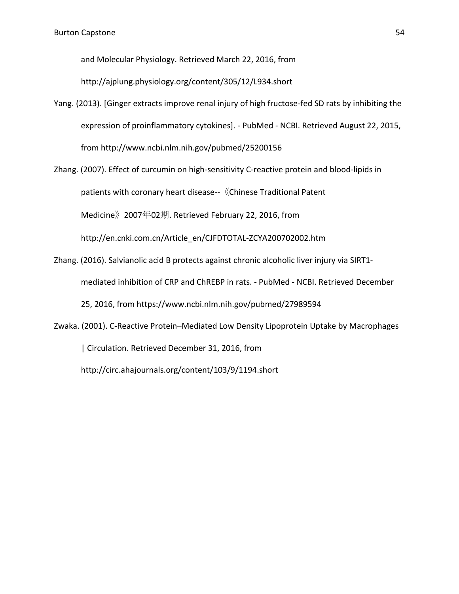and Molecular Physiology. Retrieved March 22, 2016, from

http://ajplung.physiology.org/content/305/12/L934.short

- Yang. (2013). [Ginger extracts improve renal injury of high fructose-fed SD rats by inhibiting the expression of proinflammatory cytokines]. - PubMed - NCBI. Retrieved August 22, 2015, from http://www.ncbi.nlm.nih.gov/pubmed/25200156
- Zhang. (2007). Effect of curcumin on high-sensitivity C-reactive protein and blood-lipids in patients with coronary heart disease--《Chinese Traditional Patent Medicine》2007年02期. Retrieved February 22, 2016, from http://en.cnki.com.cn/Article\_en/CJFDTOTAL-ZCYA200702002.htm
- Zhang. (2016). Salvianolic acid B protects against chronic alcoholic liver injury via SIRT1 mediated inhibition of CRP and ChREBP in rats. - PubMed - NCBI. Retrieved December 25, 2016, from https://www.ncbi.nlm.nih.gov/pubmed/27989594
- Zwaka. (2001). C-Reactive Protein–Mediated Low Density Lipoprotein Uptake by Macrophages | Circulation. Retrieved December 31, 2016, from http://circ.ahajournals.org/content/103/9/1194.short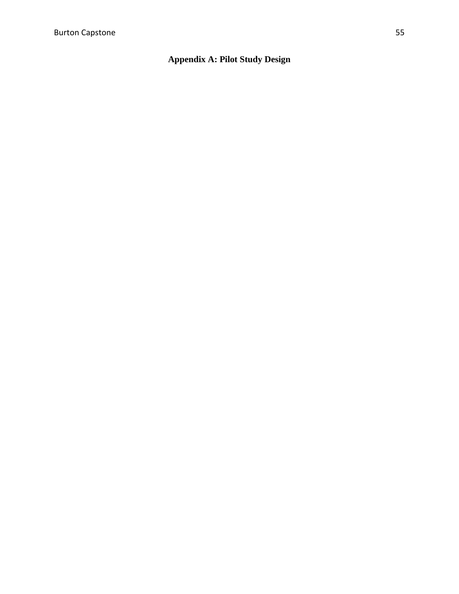#### **Appendix A: Pilot Study Design**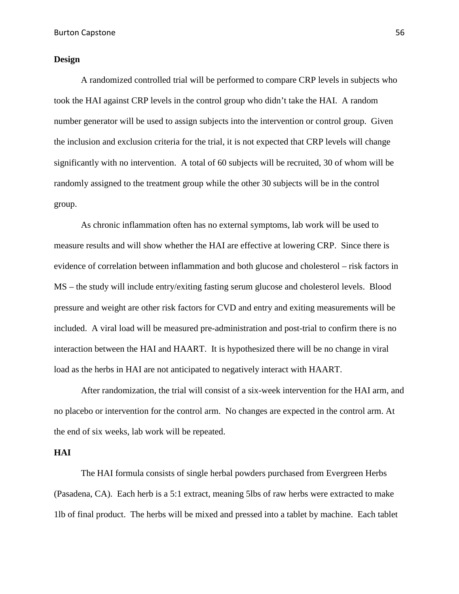#### **Design**

A randomized controlled trial will be performed to compare CRP levels in subjects who took the HAI against CRP levels in the control group who didn't take the HAI. A random number generator will be used to assign subjects into the intervention or control group. Given the inclusion and exclusion criteria for the trial, it is not expected that CRP levels will change significantly with no intervention. A total of 60 subjects will be recruited, 30 of whom will be randomly assigned to the treatment group while the other 30 subjects will be in the control group.

As chronic inflammation often has no external symptoms, lab work will be used to measure results and will show whether the HAI are effective at lowering CRP. Since there is evidence of correlation between inflammation and both glucose and cholesterol – risk factors in MS – the study will include entry/exiting fasting serum glucose and cholesterol levels. Blood pressure and weight are other risk factors for CVD and entry and exiting measurements will be included. A viral load will be measured pre-administration and post-trial to confirm there is no interaction between the HAI and HAART. It is hypothesized there will be no change in viral load as the herbs in HAI are not anticipated to negatively interact with HAART.

After randomization, the trial will consist of a six-week intervention for the HAI arm, and no placebo or intervention for the control arm. No changes are expected in the control arm. At the end of six weeks, lab work will be repeated.

#### **HAI**

The HAI formula consists of single herbal powders purchased from Evergreen Herbs (Pasadena, CA). Each herb is a 5:1 extract, meaning 5lbs of raw herbs were extracted to make 1lb of final product. The herbs will be mixed and pressed into a tablet by machine. Each tablet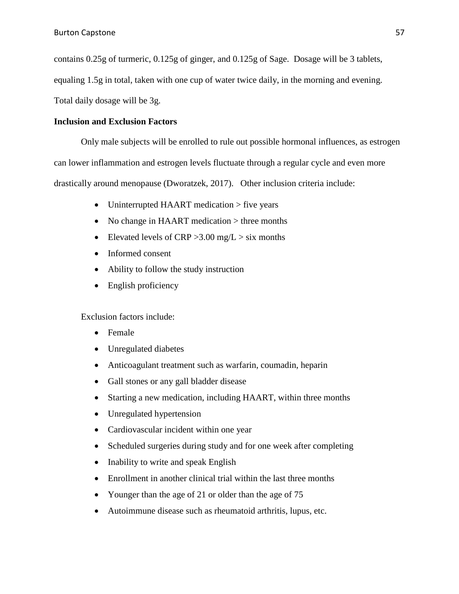contains 0.25g of turmeric, 0.125g of ginger, and 0.125g of Sage. Dosage will be 3 tablets,

equaling 1.5g in total, taken with one cup of water twice daily, in the morning and evening.

Total daily dosage will be 3g.

#### **Inclusion and Exclusion Factors**

Only male subjects will be enrolled to rule out possible hormonal influences, as estrogen can lower inflammation and estrogen levels fluctuate through a regular cycle and even more drastically around menopause (Dworatzek, 2017). Other inclusion criteria include:

- Uninterrupted HAART medication > five years
- No change in HAART medication > three months
- Elevated levels of CRP  $>3.00$  mg/L  $>$  six months
- Informed consent
- Ability to follow the study instruction
- English proficiency

Exclusion factors include:

- Female
- Unregulated diabetes
- Anticoagulant treatment such as warfarin, coumadin, heparin
- Gall stones or any gall bladder disease
- Starting a new medication, including HAART, within three months
- Unregulated hypertension
- Cardiovascular incident within one year
- Scheduled surgeries during study and for one week after completing
- Inability to write and speak English
- Enrollment in another clinical trial within the last three months
- Younger than the age of 21 or older than the age of 75
- Autoimmune disease such as rheumatoid arthritis, lupus, etc.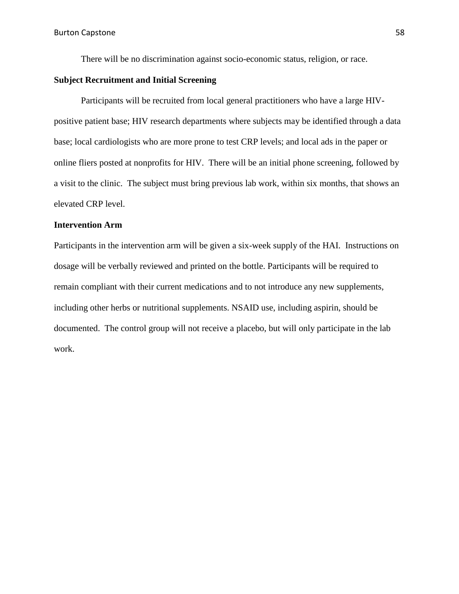There will be no discrimination against socio-economic status, religion, or race.

#### **Subject Recruitment and Initial Screening**

Participants will be recruited from local general practitioners who have a large HIVpositive patient base; HIV research departments where subjects may be identified through a data base; local cardiologists who are more prone to test CRP levels; and local ads in the paper or online fliers posted at nonprofits for HIV. There will be an initial phone screening, followed by a visit to the clinic. The subject must bring previous lab work, within six months, that shows an elevated CRP level.

#### **Intervention Arm**

Participants in the intervention arm will be given a six-week supply of the HAI. Instructions on dosage will be verbally reviewed and printed on the bottle. Participants will be required to remain compliant with their current medications and to not introduce any new supplements, including other herbs or nutritional supplements. NSAID use, including aspirin, should be documented. The control group will not receive a placebo, but will only participate in the lab work.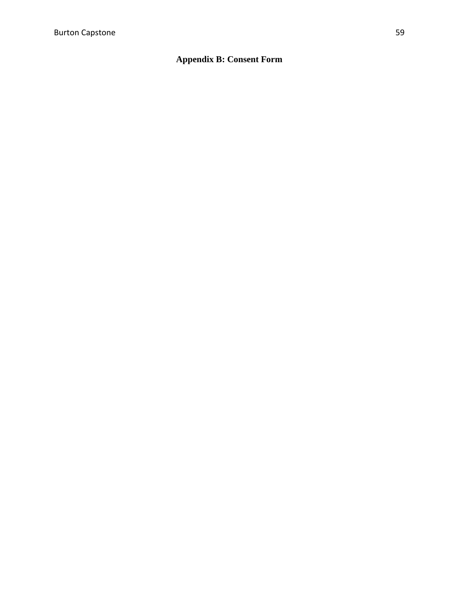#### **Appendix B: Consent Form**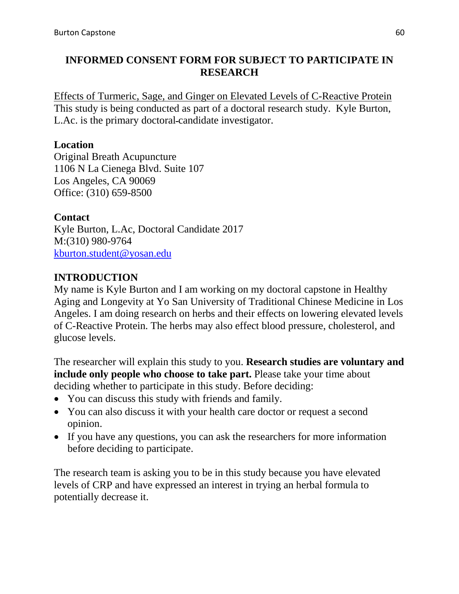#### **INFORMED CONSENT FORM FOR SUBJECT TO PARTICIPATE IN RESEARCH**

Effects of Turmeric, Sage, and Ginger on Elevated Levels of C-Reactive Protein This study is being conducted as part of a doctoral research study. Kyle Burton, L.Ac. is the primary doctoral candidate investigator.

#### **Location**

Original Breath Acupuncture 1106 N La Cienega Blvd. Suite 107 Los Angeles, CA 90069 Office: (310) 659-8500

#### **Contact**

Kyle Burton, L.Ac, Doctoral Candidate 2017 M:(310) 980-9764 [kburton.student@yosan.edu](mailto:kburton.student@yosan.edu)

#### **INTRODUCTION**

My name is Kyle Burton and I am working on my doctoral capstone in Healthy Aging and Longevity at Yo San University of Traditional Chinese Medicine in Los Angeles. I am doing research on herbs and their effects on lowering elevated levels of C-Reactive Protein. The herbs may also effect blood pressure, cholesterol, and glucose levels.

The researcher will explain this study to you. **Research studies are voluntary and include only people who choose to take part.** Please take your time about deciding whether to participate in this study. Before deciding:

- You can discuss this study with friends and family.
- You can also discuss it with your health care doctor or request a second opinion.
- If you have any questions, you can ask the researchers for more information before deciding to participate.

The research team is asking you to be in this study because you have elevated levels of CRP and have expressed an interest in trying an herbal formula to potentially decrease it.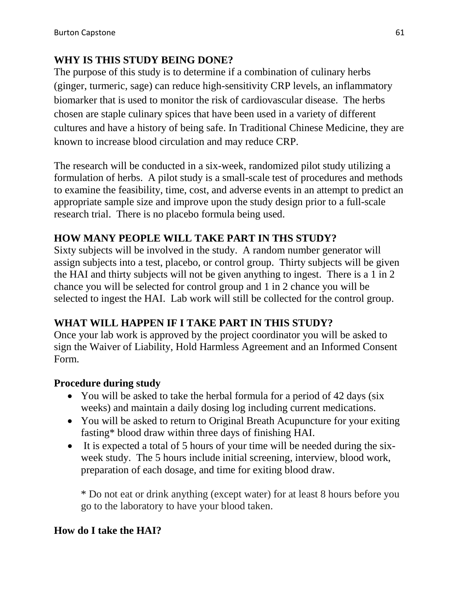### **WHY IS THIS STUDY BEING DONE?**

The purpose of this study is to determine if a combination of culinary herbs (ginger, turmeric, sage) can reduce high-sensitivity CRP levels, an inflammatory biomarker that is used to monitor the risk of cardiovascular disease. The herbs chosen are staple culinary spices that have been used in a variety of different cultures and have a history of being safe. In Traditional Chinese Medicine, they are known to increase blood circulation and may reduce CRP.

The research will be conducted in a six-week, randomized pilot study utilizing a formulation of herbs. A pilot study is a small-scale test of procedures and methods to examine the feasibility, time, cost, and adverse events in an attempt to predict an appropriate sample size and improve upon the study design prior to a full-scale research trial. There is no placebo formula being used.

#### **HOW MANY PEOPLE WILL TAKE PART IN THS STUDY?**

Sixty subjects will be involved in the study. A random number generator will assign subjects into a test, placebo, or control group. Thirty subjects will be given the HAI and thirty subjects will not be given anything to ingest. There is a 1 in 2 chance you will be selected for control group and 1 in 2 chance you will be selected to ingest the HAI. Lab work will still be collected for the control group.

### **WHAT WILL HAPPEN IF I TAKE PART IN THIS STUDY?**

Once your lab work is approved by the project coordinator you will be asked to sign the Waiver of Liability, Hold Harmless Agreement and an Informed Consent Form.

#### **Procedure during study**

- You will be asked to take the herbal formula for a period of 42 days (six weeks) and maintain a daily dosing log including current medications.
- You will be asked to return to Original Breath Acupuncture for your exiting fasting\* blood draw within three days of finishing HAI.
- It is expected a total of 5 hours of your time will be needed during the sixweek study. The 5 hours include initial screening, interview, blood work, preparation of each dosage, and time for exiting blood draw.

\* Do not eat or drink anything (except water) for at least 8 hours before you go to the laboratory to have your blood taken.

#### **How do I take the HAI?**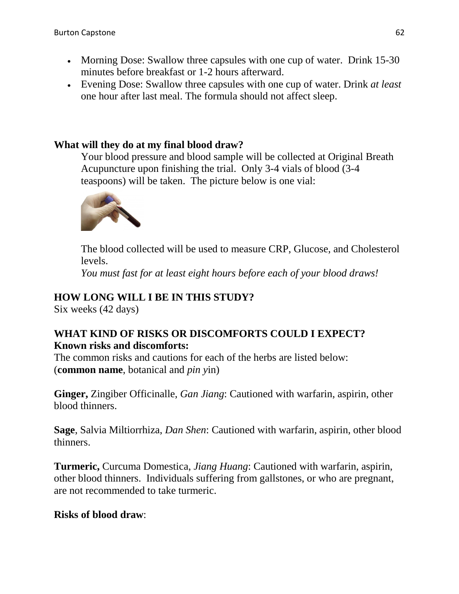- Morning Dose: Swallow three capsules with one cup of water. Drink 15-30 minutes before breakfast or 1-2 hours afterward.
- Evening Dose: Swallow three capsules with one cup of water. Drink *at least* one hour after last meal. The formula should not affect sleep.

## **What will they do at my final blood draw?**

Your blood pressure and blood sample will be collected at Original Breath Acupuncture upon finishing the trial. Only 3-4 vials of blood (3-4 teaspoons) will be taken. The picture below is one vial:



The blood collected will be used to measure CRP, Glucose, and Cholesterol levels.

*You must fast for at least eight hours before each of your blood draws!* 

### **HOW LONG WILL I BE IN THIS STUDY?**

Six weeks (42 days)

#### **WHAT KIND OF RISKS OR DISCOMFORTS COULD I EXPECT? Known risks and discomforts:**

The common risks and cautions for each of the herbs are listed below: (**common name**, botanical and *pin y*in)

**Ginger,** Zingiber Officinalle, *Gan Jiang*: Cautioned with warfarin, aspirin, other blood thinners.

**Sage**, Salvia Miltiorrhiza, *Dan Shen*: Cautioned with warfarin, aspirin, other blood thinners.

**Turmeric,** Curcuma Domestica, *Jiang Huang*: Cautioned with warfarin, aspirin, other blood thinners. Individuals suffering from gallstones, or who are pregnant, are not recommended to take turmeric.

#### **Risks of blood draw**: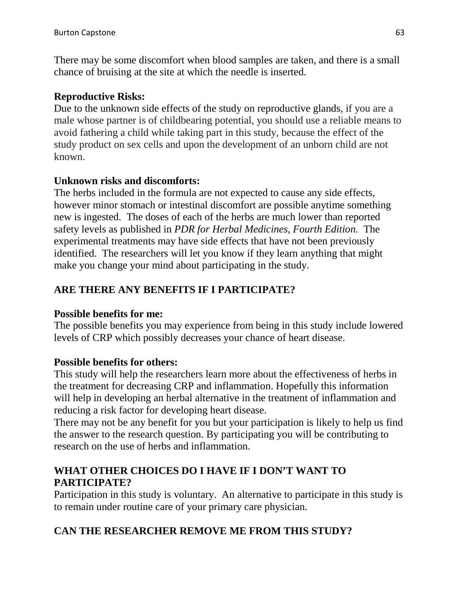There may be some discomfort when blood samples are taken, and there is a small chance of bruising at the site at which the needle is inserted.

### **Reproductive Risks:**

Due to the unknown side effects of the study on reproductive glands, if you are a male whose partner is of childbearing potential, you should use a reliable means to avoid fathering a child while taking part in this study, because the effect of the study product on sex cells and upon the development of an unborn child are not known.

### **Unknown risks and discomforts:**

The herbs included in the formula are not expected to cause any side effects, however minor stomach or intestinal discomfort are possible anytime something new is ingested. The doses of each of the herbs are much lower than reported safety levels as published in *PDR for Herbal Medicines, Fourth Edition.* The experimental treatments may have side effects that have not been previously identified. The researchers will let you know if they learn anything that might make you change your mind about participating in the study.

## **ARE THERE ANY BENEFITS IF I PARTICIPATE?**

### **Possible benefits for me:**

The possible benefits you may experience from being in this study include lowered levels of CRP which possibly decreases your chance of heart disease.

### **Possible benefits for others:**

This study will help the researchers learn more about the effectiveness of herbs in the treatment for decreasing CRP and inflammation. Hopefully this information will help in developing an herbal alternative in the treatment of inflammation and reducing a risk factor for developing heart disease.

There may not be any benefit for you but your participation is likely to help us find the answer to the research question. By participating you will be contributing to research on the use of herbs and inflammation.

### **WHAT OTHER CHOICES DO I HAVE IF I DON'T WANT TO PARTICIPATE?**

Participation in this study is voluntary. An alternative to participate in this study is to remain under routine care of your primary care physician.

## **CAN THE RESEARCHER REMOVE ME FROM THIS STUDY?**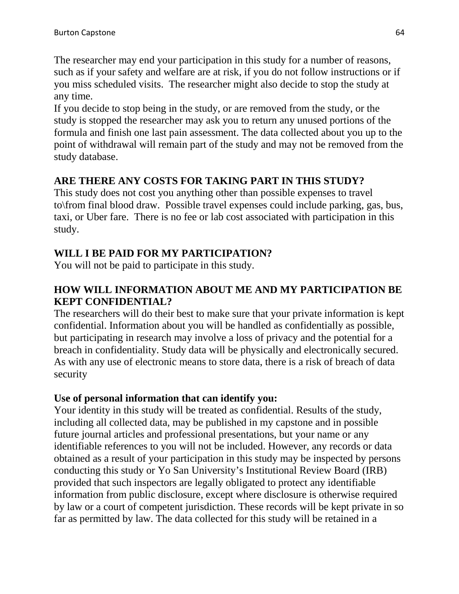The researcher may end your participation in this study for a number of reasons, such as if your safety and welfare are at risk, if you do not follow instructions or if you miss scheduled visits. The researcher might also decide to stop the study at any time.

If you decide to stop being in the study, or are removed from the study, or the study is stopped the researcher may ask you to return any unused portions of the formula and finish one last pain assessment. The data collected about you up to the point of withdrawal will remain part of the study and may not be removed from the study database.

## **ARE THERE ANY COSTS FOR TAKING PART IN THIS STUDY?**

This study does not cost you anything other than possible expenses to travel to\from final blood draw. Possible travel expenses could include parking, gas, bus, taxi, or Uber fare. There is no fee or lab cost associated with participation in this study.

### **WILL I BE PAID FOR MY PARTICIPATION?**

You will not be paid to participate in this study.

### **HOW WILL INFORMATION ABOUT ME AND MY PARTICIPATION BE KEPT CONFIDENTIAL?**

The researchers will do their best to make sure that your private information is kept confidential. Information about you will be handled as confidentially as possible, but participating in research may involve a loss of privacy and the potential for a breach in confidentiality. Study data will be physically and electronically secured. As with any use of electronic means to store data, there is a risk of breach of data security

### **Use of personal information that can identify you:**

Your identity in this study will be treated as confidential. Results of the study, including all collected data, may be published in my capstone and in possible future journal articles and professional presentations, but your name or any identifiable references to you will not be included. However, any records or data obtained as a result of your participation in this study may be inspected by persons conducting this study or Yo San University's Institutional Review Board (IRB) provided that such inspectors are legally obligated to protect any identifiable information from public disclosure, except where disclosure is otherwise required by law or a court of competent jurisdiction. These records will be kept private in so far as permitted by law. The data collected for this study will be retained in a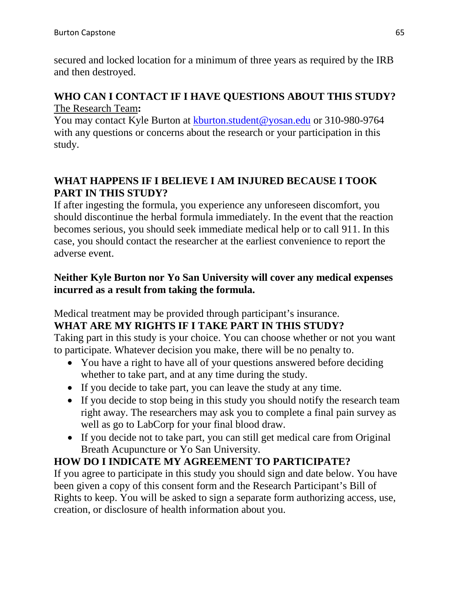secured and locked location for a minimum of three years as required by the IRB and then destroyed.

### **WHO CAN I CONTACT IF I HAVE QUESTIONS ABOUT THIS STUDY?** The Research Team**:**

You may contact Kyle Burton at [kburton.student@yosan.edu](mailto:kburton.student@yosan.edu) or 310-980-9764 with any questions or concerns about the research or your participation in this study.

### **WHAT HAPPENS IF I BELIEVE I AM INJURED BECAUSE I TOOK PART IN THIS STUDY?**

If after ingesting the formula, you experience any unforeseen discomfort, you should discontinue the herbal formula immediately. In the event that the reaction becomes serious, you should seek immediate medical help or to call 911. In this case, you should contact the researcher at the earliest convenience to report the adverse event.

### **Neither Kyle Burton nor Yo San University will cover any medical expenses incurred as a result from taking the formula.**

Medical treatment may be provided through participant's insurance.

## **WHAT ARE MY RIGHTS IF I TAKE PART IN THIS STUDY?**

Taking part in this study is your choice. You can choose whether or not you want to participate. Whatever decision you make, there will be no penalty to.

- You have a right to have all of your questions answered before deciding whether to take part, and at any time during the study.
- If you decide to take part, you can leave the study at any time.
- If you decide to stop being in this study you should notify the research team right away. The researchers may ask you to complete a final pain survey as well as go to LabCorp for your final blood draw.
- If you decide not to take part, you can still get medical care from Original Breath Acupuncture or Yo San University.

## **HOW DO I INDICATE MY AGREEMENT TO PARTICIPATE?**

If you agree to participate in this study you should sign and date below. You have been given a copy of this consent form and the Research Participant's Bill of Rights to keep. You will be asked to sign a separate form authorizing access, use, creation, or disclosure of health information about you.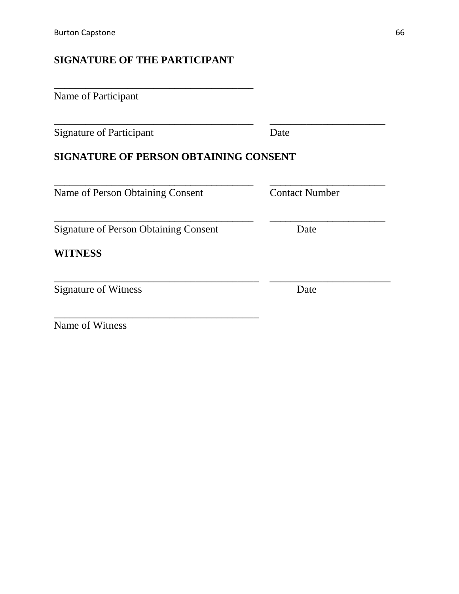### **SIGNATURE OF THE PARTICIPANT**

| Name of Participant                          |                       |
|----------------------------------------------|-----------------------|
| <b>Signature of Participant</b>              | Date                  |
| <b>SIGNATURE OF PERSON OBTAINING CONSENT</b> |                       |
| Name of Person Obtaining Consent             | <b>Contact Number</b> |
| <b>Signature of Person Obtaining Consent</b> | Date                  |
| <b>WITNESS</b>                               |                       |
| <b>Signature of Witness</b>                  | Date                  |
|                                              |                       |

Name of Witness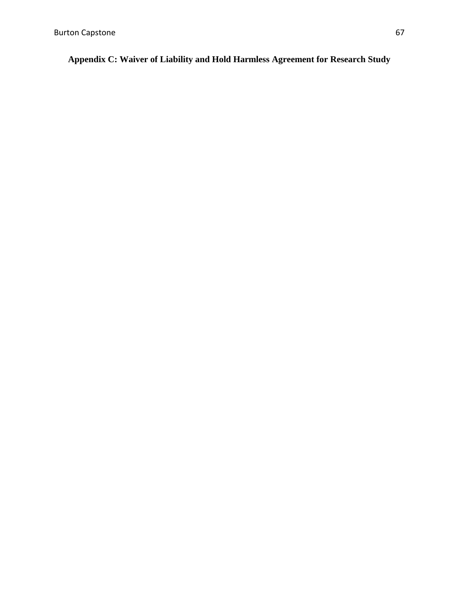**Appendix C: Waiver of Liability and Hold Harmless Agreement for Research Study**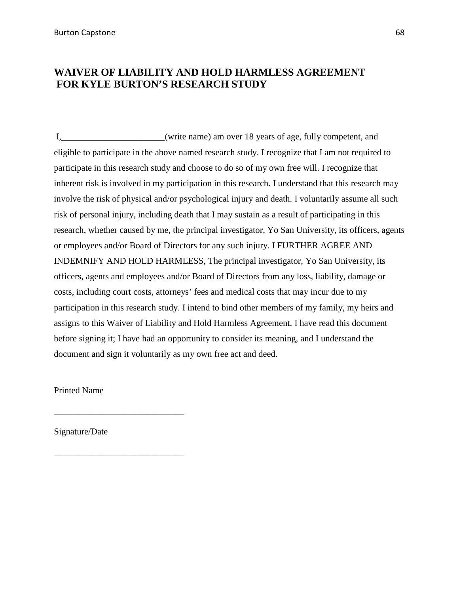#### **WAIVER OF LIABILITY AND HOLD HARMLESS AGREEMENT FOR KYLE BURTON'S RESEARCH STUDY**

I,\_\_\_\_\_\_\_\_\_\_\_\_\_\_\_\_\_\_\_\_\_\_\_(write name) am over 18 years of age, fully competent, and eligible to participate in the above named research study. I recognize that I am not required to participate in this research study and choose to do so of my own free will. I recognize that inherent risk is involved in my participation in this research. I understand that this research may involve the risk of physical and/or psychological injury and death. I voluntarily assume all such risk of personal injury, including death that I may sustain as a result of participating in this research, whether caused by me, the principal investigator, Yo San University, its officers, agents or employees and/or Board of Directors for any such injury. I FURTHER AGREE AND INDEMNIFY AND HOLD HARMLESS, The principal investigator, Yo San University, its officers, agents and employees and/or Board of Directors from any loss, liability, damage or costs, including court costs, attorneys' fees and medical costs that may incur due to my participation in this research study. I intend to bind other members of my family, my heirs and assigns to this Waiver of Liability and Hold Harmless Agreement. I have read this document before signing it; I have had an opportunity to consider its meaning, and I understand the document and sign it voluntarily as my own free act and deed.

Printed Name

Signature/Date

\_\_\_\_\_\_\_\_\_\_\_\_\_\_\_\_\_\_\_\_\_\_\_\_\_\_\_\_\_

\_\_\_\_\_\_\_\_\_\_\_\_\_\_\_\_\_\_\_\_\_\_\_\_\_\_\_\_\_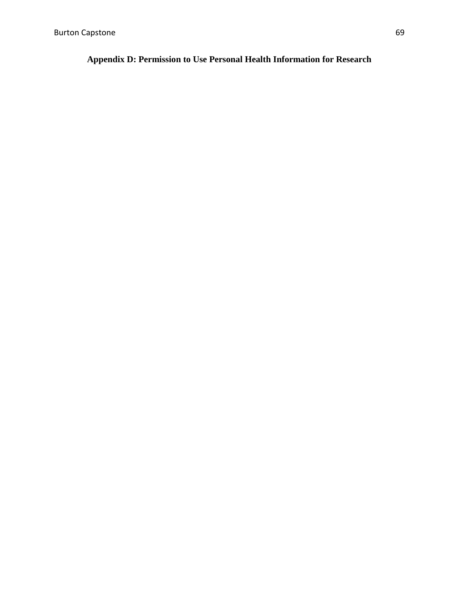#### **Appendix D: Permission to Use Personal Health Information for Research**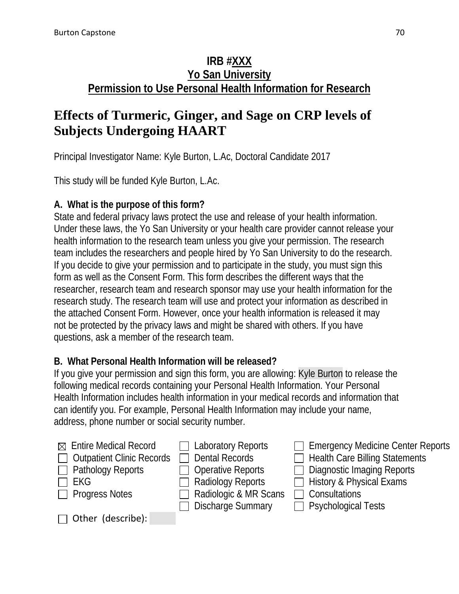## **IRB #XXX Yo San University Permission to Use Personal Health Information for Research**

# **Effects of Turmeric, Ginger, and Sage on CRP levels of Subjects Undergoing HAART**

Principal Investigator Name: Kyle Burton, L.Ac, Doctoral Candidate 2017

This study will be funded Kyle Burton, L.Ac.

## **A. What is the purpose of this form?**

State and federal privacy laws protect the use and release of your health information. Under these laws, the Yo San University or your health care provider cannot release your health information to the research team unless you give your permission. The research team includes the researchers and people hired by Yo San University to do the research. If you decide to give your permission and to participate in the study, you must sign this form as well as the Consent Form. This form describes the different ways that the researcher, research team and research sponsor may use your health information for the research study. The research team will use and protect your information as described in the attached Consent Form. However, once your health information is released it may not be protected by the privacy laws and might be shared with others. If you have questions, ask a member of the research team.

## **B. What Personal Health Information will be released?**

If you give your permission and sign this form, you are allowing: Kyle Burton to release the following medical records containing your Personal Health Information. Your Personal Health Information includes health information in your medical records and information that can identify you. For example, Personal Health Information may include your name, address, phone number or social security number.

| $\boxtimes$ Entire Medical Record<br>$\Box$ Outpatient Clinic Records<br>$\Box$ Pathology Reports<br>$\Box$ EKG<br>$\Box$ Progress Notes | $\Box$ Laboratory Reports<br>$\Box$ Dental Records<br>$\Box$ Operative Reports<br>$\Box$ Radiology Reports<br>Radiologic & MR Scans | $\Box$ Emergency Medicine Center Reports<br>$\Box$ Health Care Billing Statements<br>$\Box$ Diagnostic Imaging Reports<br>$\Box$ History & Physical Exams<br>$\Box$ Consultations |
|------------------------------------------------------------------------------------------------------------------------------------------|-------------------------------------------------------------------------------------------------------------------------------------|-----------------------------------------------------------------------------------------------------------------------------------------------------------------------------------|
|                                                                                                                                          | $\Box$ Discharge Summary                                                                                                            | $\Box$ Psychological Tests                                                                                                                                                        |
| $\Box$ Other (describe):                                                                                                                 |                                                                                                                                     |                                                                                                                                                                                   |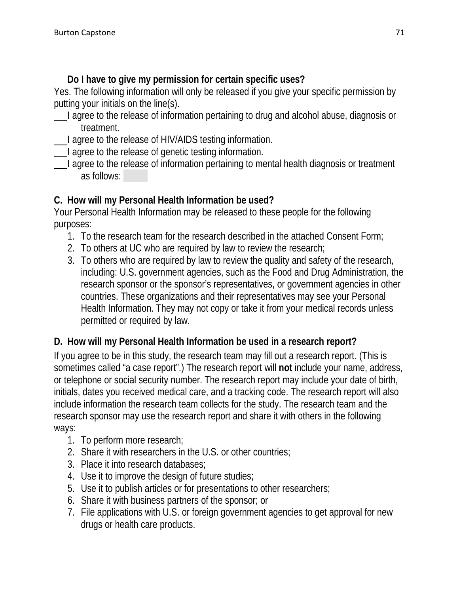### **Do I have to give my permission for certain specific uses?**

Yes. The following information will only be released if you give your specific permission by putting your initials on the line(s).

- I agree to the release of information pertaining to drug and alcohol abuse, diagnosis or treatment.
- I agree to the release of HIV/AIDS testing information.
- I agree to the release of genetic testing information.
- I agree to the release of information pertaining to mental health diagnosis or treatment as follows:

### **C. How will my Personal Health Information be used?**

Your Personal Health Information may be released to these people for the following purposes:

- 1. To the research team for the research described in the attached Consent Form;
- 2. To others at UC who are required by law to review the research;
- 3. To others who are required by law to review the quality and safety of the research, including: U.S. government agencies, such as the Food and Drug Administration, the research sponsor or the sponsor's representatives, or government agencies in other countries. These organizations and their representatives may see your Personal Health Information. They may not copy or take it from your medical records unless permitted or required by law.

## **D. How will my Personal Health Information be used in a research report?**

If you agree to be in this study, the research team may fill out a research report. (This is sometimes called "a case report".) The research report will **not** include your name, address, or telephone or social security number. The research report may include your date of birth, initials, dates you received medical care, and a tracking code. The research report will also include information the research team collects for the study. The research team and the research sponsor may use the research report and share it with others in the following ways:

- 1. To perform more research;
- 2. Share it with researchers in the U.S. or other countries;
- 3. Place it into research databases;
- 4. Use it to improve the design of future studies;
- 5. Use it to publish articles or for presentations to other researchers;
- 6. Share it with business partners of the sponsor; or
- 7. File applications with U.S. or foreign government agencies to get approval for new drugs or health care products.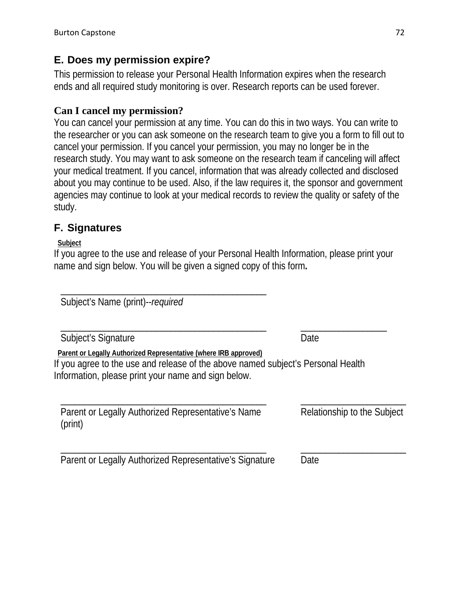### **E. Does my permission expire?**

This permission to release your Personal Health Information expires when the research ends and all required study monitoring is over. Research reports can be used forever.

#### **Can I cancel my permission?**

You can cancel your permission at any time. You can do this in two ways. You can write to the researcher or you can ask someone on the research team to give you a form to fill out to cancel your permission. If you cancel your permission, you may no longer be in the research study. You may want to ask someone on the research team if canceling will affect your medical treatment. If you cancel, information that was already collected and disclosed about you may continue to be used. Also, if the law requires it, the sponsor and government agencies may continue to look at your medical records to review the quality or safety of the study.

### **F. Signatures**

**Subject** 

If you agree to the use and release of your Personal Health Information, please print your name and sign below. You will be given a signed copy of this form**.**

Subject's Name (print)--*required*

\_\_\_\_\_\_\_\_\_\_\_\_\_\_\_\_\_\_\_\_\_\_\_\_\_\_\_\_\_\_\_\_\_\_\_\_\_\_\_\_\_\_\_ \_\_\_\_\_\_\_\_\_\_\_\_\_\_\_\_\_\_ Subject's Signature Date

**Parent or Legally Authorized Representative (where IRB approved)** 

\_\_\_\_\_\_\_\_\_\_\_\_\_\_\_\_\_\_\_\_\_\_\_\_\_\_\_\_\_\_\_\_\_\_\_\_\_\_\_\_\_\_\_

If you agree to the use and release of the above named subject's Personal Health Information, please print your name and sign below.

| Parent or Legally Authorized Representative's Name | Relationship to the Subject |
|----------------------------------------------------|-----------------------------|
| (print)                                            |                             |

\_\_\_\_\_\_\_\_\_\_\_\_\_\_\_\_\_\_\_\_\_\_\_\_\_\_\_\_\_\_\_\_\_\_\_\_\_\_\_\_\_\_\_ \_\_\_\_\_\_\_\_\_\_\_\_\_\_\_\_\_\_\_\_\_\_ Parent or Legally Authorized Representative's Signature Date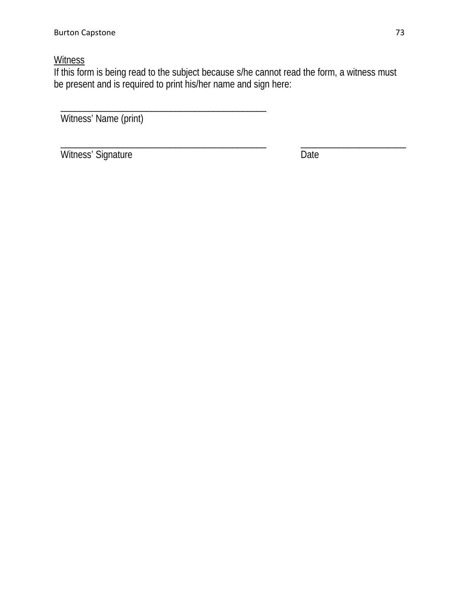# **Witness**

If this form is being read to the subject because s/he cannot read the form, a witness must be present and is required to print his/her name and sign here:

Witness' Name (print)

\_\_\_\_\_\_\_\_\_\_\_\_\_\_\_\_\_\_\_\_\_\_\_\_\_\_\_\_\_\_\_\_\_\_\_\_\_\_\_\_\_\_\_

Witness' Signature Date

\_\_\_\_\_\_\_\_\_\_\_\_\_\_\_\_\_\_\_\_\_\_\_\_\_\_\_\_\_\_\_\_\_\_\_\_\_\_\_\_\_\_\_ \_\_\_\_\_\_\_\_\_\_\_\_\_\_\_\_\_\_\_\_\_\_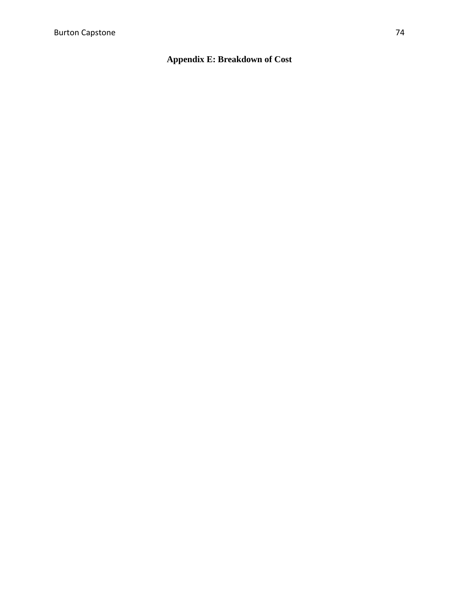**Appendix E: Breakdown of Cost**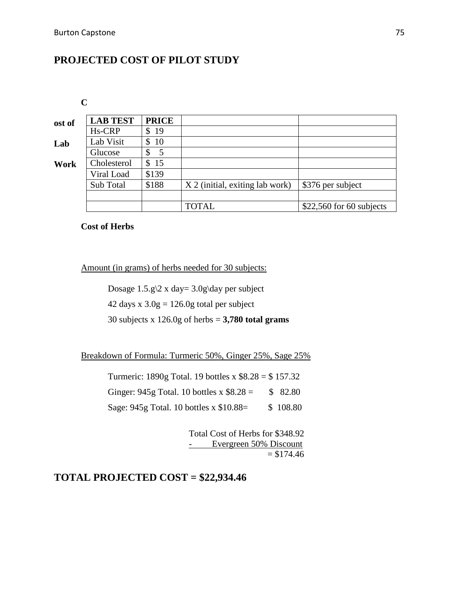# **PROJECTED COST OF PILOT STUDY**

**C**

| <b>LAB TEST</b>     | <b>PRICE</b> |                                 |                           |
|---------------------|--------------|---------------------------------|---------------------------|
| H <sub>s</sub> -CRP | \$<br>19     |                                 |                           |
| Lab Visit           | 10<br>\$     |                                 |                           |
| Glucose             | \$<br>5      |                                 |                           |
| Cholesterol         | \$15         |                                 |                           |
| Viral Load          | \$139        |                                 |                           |
| Sub Total           | \$188        | X 2 (initial, exiting lab work) | \$376 per subject         |
|                     |              |                                 |                           |
|                     |              | <b>TOTAL</b>                    | $$22,560$ for 60 subjects |
|                     |              |                                 |                           |

**Cost of Herbs**

Amount (in grams) of herbs needed for 30 subjects:

Dosage  $1.5.9 \times 2 \times day = 3.09 \day$  per subject

42 days x  $3.0g = 126.0g$  total per subject

30 subjects x 126.0g of herbs = **3,780 total grams**

Breakdown of Formula: Turmeric 50%, Ginger 25%, Sage 25%

Turmeric: 1890g Total. 19 bottles x \$8.28 = \$ 157.32 Ginger:  $945g$  Total. 10 bottles x  $$8.28 = $82.80$ Sage: 945g Total. 10 bottles x \$10.88 = \$ 108.80

> Total Cost of Herbs for \$348.92 - Evergreen 50% Discount  $= $174.46$

**TOTAL PROJECTED COST = \$22,934.46**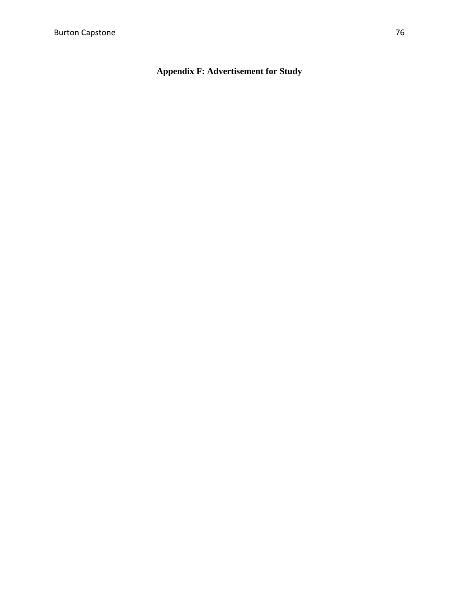**Appendix F: Advertisement for Study**